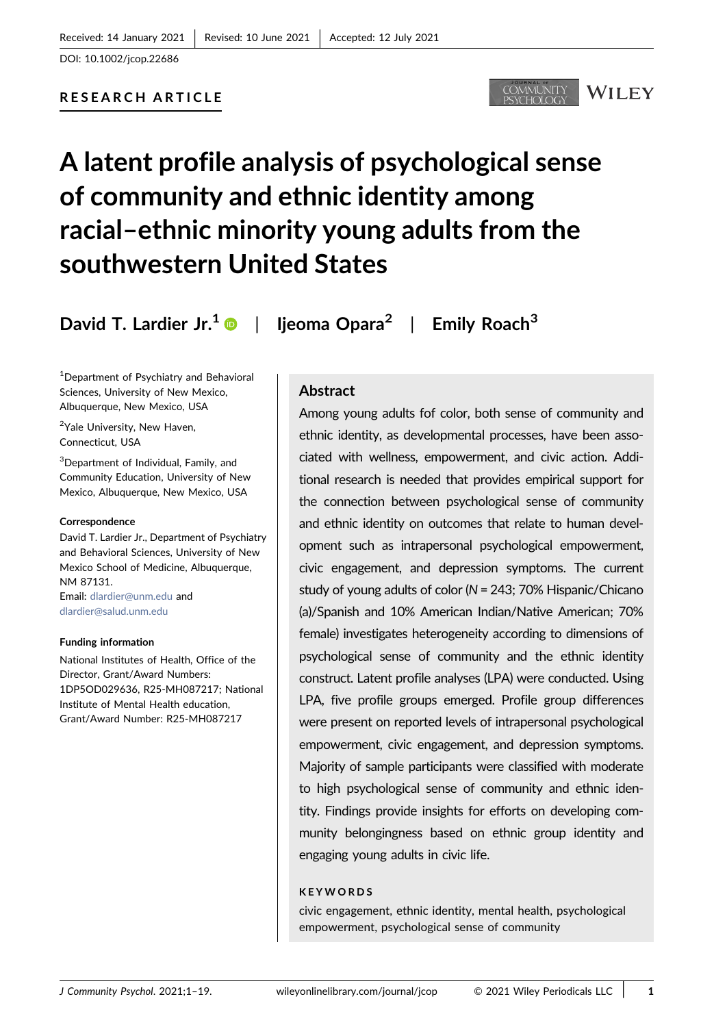# RESEARCH ARTICLE



# A latent profile analysis of psychological sense of community and ethnic identity among racial–ethnic minority young adults from the southwestern United States

David T. Lardier Jr.<sup>[1](https://orcid.org/0000-0002-7236-2049)</sup>  $\bullet$  | lieoma Opara<sup>2</sup> | Emily Roach<sup>3</sup>

1 Department of Psychiatry and Behavioral Sciences, University of New Mexico, Albuquerque, New Mexico, USA

<sup>2</sup>Yale University, New Haven, Connecticut, USA

3 Department of Individual, Family, and Community Education, University of New Mexico, Albuquerque, New Mexico, USA

#### Correspondence

David T. Lardier Jr., Department of Psychiatry and Behavioral Sciences, University of New Mexico School of Medicine, Albuquerque, NM 87131. Email: [dlardier@unm.edu](mailto:dlardier@unm.edu) and

[dlardier@salud.unm.edu](mailto:dlardier@salud.unm.edu)

#### Funding information

National Institutes of Health, Office of the Director, Grant/Award Numbers: 1DP5OD029636, R25‐MH087217; National Institute of Mental Health education, Grant/Award Number: R25‐MH087217

# **Abstract**

Among young adults fof color, both sense of community and ethnic identity, as developmental processes, have been associated with wellness, empowerment, and civic action. Additional research is needed that provides empirical support for the connection between psychological sense of community and ethnic identity on outcomes that relate to human development such as intrapersonal psychological empowerment, civic engagement, and depression symptoms. The current study of young adults of color (N = 243; 70% Hispanic/Chicano (a)/Spanish and 10% American Indian/Native American; 70% female) investigates heterogeneity according to dimensions of psychological sense of community and the ethnic identity construct. Latent profile analyses (LPA) were conducted. Using LPA, five profile groups emerged. Profile group differences were present on reported levels of intrapersonal psychological empowerment, civic engagement, and depression symptoms. Majority of sample participants were classified with moderate to high psychological sense of community and ethnic identity. Findings provide insights for efforts on developing community belongingness based on ethnic group identity and engaging young adults in civic life.

## **KEYWORDS**

civic engagement, ethnic identity, mental health, psychological empowerment, psychological sense of community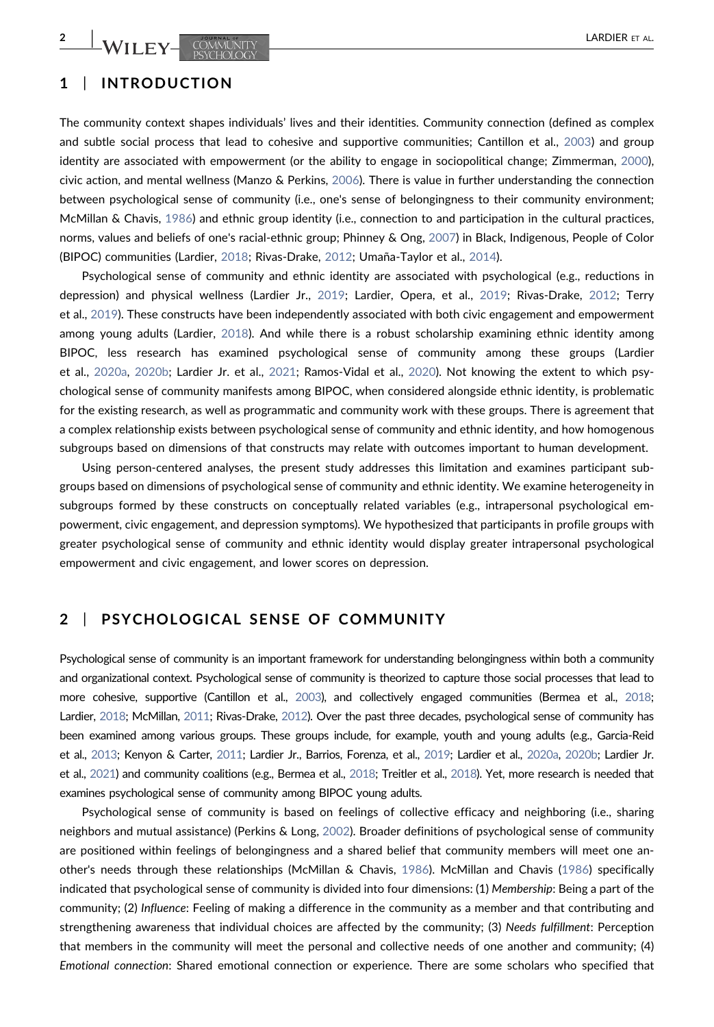# 1 | INTRODUCTION

The community context shapes individuals' lives and their identities. Community connection (defined as complex and subtle social process that lead to cohesive and supportive communities; Cantillon et al., [2003\)](#page-14-0) and group identity are associated with empowerment (or the ability to engage in sociopolitical change; Zimmerman, [2000](#page-18-0)), civic action, and mental wellness (Manzo & Perkins, [2006](#page-16-0)). There is value in further understanding the connection between psychological sense of community (i.e., one's sense of belongingness to their community environment; McMillan & Chavis, [1986\)](#page-16-1) and ethnic group identity (i.e., connection to and participation in the cultural practices, norms, values and beliefs of one's racial‐ethnic group; Phinney & Ong, [2007\)](#page-17-0) in Black, Indigenous, People of Color (BIPOC) communities (Lardier, [2018;](#page-15-0) Rivas‐Drake, [2012](#page-17-1); Umaña‐Taylor et al., [2014](#page-18-1)).

Psychological sense of community and ethnic identity are associated with psychological (e.g., reductions in depression) and physical wellness (Lardier Jr., [2019](#page-15-1); Lardier, Opera, et al., [2019](#page-16-2); Rivas‐Drake, [2012;](#page-17-1) Terry et al., [2019](#page-18-2)). These constructs have been independently associated with both civic engagement and empowerment among young adults (Lardier, [2018\)](#page-15-0). And while there is a robust scholarship examining ethnic identity among BIPOC, less research has examined psychological sense of community among these groups (Lardier et al., [2020a](#page-16-3), [2020b;](#page-16-4) Lardier Jr. et al., [2021](#page-16-5); Ramos‐Vidal et al., [2020\)](#page-17-2). Not knowing the extent to which psychological sense of community manifests among BIPOC, when considered alongside ethnic identity, is problematic for the existing research, as well as programmatic and community work with these groups. There is agreement that a complex relationship exists between psychological sense of community and ethnic identity, and how homogenous subgroups based on dimensions of that constructs may relate with outcomes important to human development.

Using person‐centered analyses, the present study addresses this limitation and examines participant subgroups based on dimensions of psychological sense of community and ethnic identity. We examine heterogeneity in subgroups formed by these constructs on conceptually related variables (e.g., intrapersonal psychological empowerment, civic engagement, and depression symptoms). We hypothesized that participants in profile groups with greater psychological sense of community and ethnic identity would display greater intrapersonal psychological empowerment and civic engagement, and lower scores on depression.

## 2 | PSYCHOLOGICAL SENSE OF COMMUNITY

Psychological sense of community is an important framework for understanding belongingness within both a community and organizational context. Psychological sense of community is theorized to capture those social processes that lead to more cohesive, supportive (Cantillon et al., [2003](#page-14-0)), and collectively engaged communities (Bermea et al., [2018](#page-14-1); Lardier, [2018](#page-15-0); McMillan, [2011](#page-16-6); Rivas‐Drake, [2012\)](#page-17-1). Over the past three decades, psychological sense of community has been examined among various groups. These groups include, for example, youth and young adults (e.g., Garcia‐Reid et al., [2013](#page-15-2); Kenyon & Carter, [2011;](#page-15-3) Lardier Jr., Barrios, Forenza, et al., [2019;](#page-15-4) Lardier et al., [2020a](#page-16-3), [2020b;](#page-16-4) Lardier Jr. et al., [2021\)](#page-16-5) and community coalitions (e.g., Bermea et al., [2018;](#page-14-1) Treitler et al., [2018\)](#page-18-3). Yet, more research is needed that examines psychological sense of community among BIPOC young adults.

Psychological sense of community is based on feelings of collective efficacy and neighboring (i.e., sharing neighbors and mutual assistance) (Perkins & Long, [2002\)](#page-17-3). Broader definitions of psychological sense of community are positioned within feelings of belongingness and a shared belief that community members will meet one another's needs through these relationships (McMillan & Chavis, [1986](#page-16-1)). McMillan and Chavis [\(1986\)](#page-16-1) specifically indicated that psychological sense of community is divided into four dimensions: (1) Membership: Being a part of the community; (2) Influence: Feeling of making a difference in the community as a member and that contributing and strengthening awareness that individual choices are affected by the community; (3) Needs fulfillment: Perception that members in the community will meet the personal and collective needs of one another and community; (4) Emotional connection: Shared emotional connection or experience. There are some scholars who specified that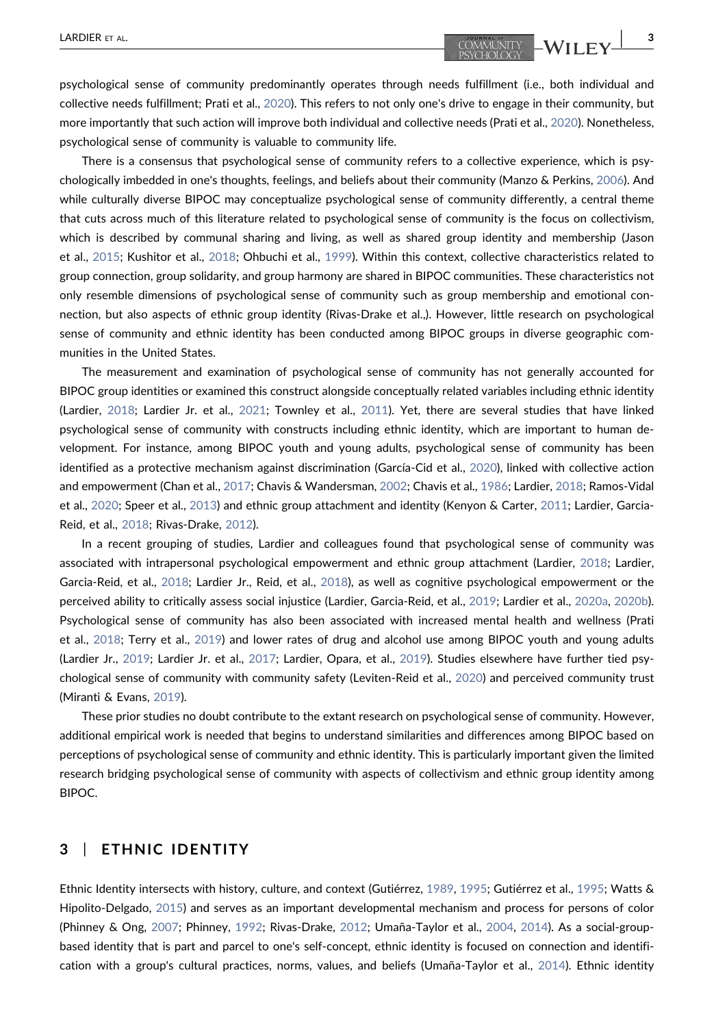psychological sense of community predominantly operates through needs fulfillment (i.e., both individual and collective needs fulfillment; Prati et al., [2020\)](#page-17-4). This refers to not only one's drive to engage in their community, but more importantly that such action will improve both individual and collective needs (Prati et al., [2020](#page-17-4)). Nonetheless, psychological sense of community is valuable to community life.

There is a consensus that psychological sense of community refers to a collective experience, which is psychologically imbedded in one's thoughts, feelings, and beliefs about their community (Manzo & Perkins, [2006\)](#page-16-0). And while culturally diverse BIPOC may conceptualize psychological sense of community differently, a central theme that cuts across much of this literature related to psychological sense of community is the focus on collectivism, which is described by communal sharing and living, as well as shared group identity and membership (Jason et al., [2015;](#page-15-5) Kushitor et al., [2018](#page-15-6); Ohbuchi et al., [1999](#page-16-7)). Within this context, collective characteristics related to group connection, group solidarity, and group harmony are shared in BIPOC communities. These characteristics not only resemble dimensions of psychological sense of community such as group membership and emotional connection, but also aspects of ethnic group identity (Rivas‐Drake et al.,). However, little research on psychological sense of community and ethnic identity has been conducted among BIPOC groups in diverse geographic communities in the United States.

The measurement and examination of psychological sense of community has not generally accounted for BIPOC group identities or examined this construct alongside conceptually related variables including ethnic identity (Lardier, [2018](#page-15-0); Lardier Jr. et al., [2021;](#page-16-5) Townley et al., [2011\)](#page-18-4). Yet, there are several studies that have linked psychological sense of community with constructs including ethnic identity, which are important to human development. For instance, among BIPOC youth and young adults, psychological sense of community has been identified as a protective mechanism against discrimination (García‐Cid et al., [2020](#page-15-7)), linked with collective action and empowerment (Chan et al., [2017](#page-14-2); Chavis & Wandersman, [2002](#page-14-3); Chavis et al., [1986;](#page-16-1) Lardier, [2018;](#page-15-0) Ramos‐Vidal et al., [2020](#page-17-2); Speer et al., [2013](#page-17-5)) and ethnic group attachment and identity (Kenyon & Carter, [2011;](#page-15-3) Lardier, Garcia‐ Reid, et al., [2018](#page-16-8); Rivas‐Drake, [2012\)](#page-17-1).

In a recent grouping of studies, Lardier and colleagues found that psychological sense of community was associated with intrapersonal psychological empowerment and ethnic group attachment (Lardier, [2018](#page-15-0); Lardier, Garcia‐Reid, et al., [2018](#page-16-8); Lardier Jr., Reid, et al., [2018](#page-16-9)), as well as cognitive psychological empowerment or the perceived ability to critically assess social injustice (Lardier, Garcia‐Reid, et al., [2019](#page-16-10); Lardier et al., [2020a,](#page-16-3) [2020b](#page-16-4)). Psychological sense of community has also been associated with increased mental health and wellness (Prati et al., [2018;](#page-17-6) Terry et al., [2019\)](#page-18-2) and lower rates of drug and alcohol use among BIPOC youth and young adults (Lardier Jr., [2019;](#page-15-1) Lardier Jr. et al., [2017](#page-16-11); Lardier, Opara, et al., [2019](#page-16-2)). Studies elsewhere have further tied psychological sense of community with community safety (Leviten‐Reid et al., [2020\)](#page-16-12) and perceived community trust (Miranti & Evans, [2019\)](#page-16-13).

These prior studies no doubt contribute to the extant research on psychological sense of community. However, additional empirical work is needed that begins to understand similarities and differences among BIPOC based on perceptions of psychological sense of community and ethnic identity. This is particularly important given the limited research bridging psychological sense of community with aspects of collectivism and ethnic group identity among BIPOC.

# 3 | ETHNIC IDENTITY

Ethnic Identity intersects with history, culture, and context (Gutiérrez, [1989](#page-15-8), [1995;](#page-15-9) Gutiérrez et al., [1995](#page-15-10); Watts & Hipolito‐Delgado, [2015](#page-18-5)) and serves as an important developmental mechanism and process for persons of color (Phinney & Ong, [2007](#page-17-0); Phinney, [1992](#page-17-7); Rivas‐Drake, [2012](#page-17-1); Umaña‐Taylor et al., [2004,](#page-18-6) [2014](#page-18-1)). As a social‐group‐ based identity that is part and parcel to one's self‐concept, ethnic identity is focused on connection and identification with a group's cultural practices, norms, values, and beliefs (Umaña‐Taylor et al., [2014](#page-18-1)). Ethnic identity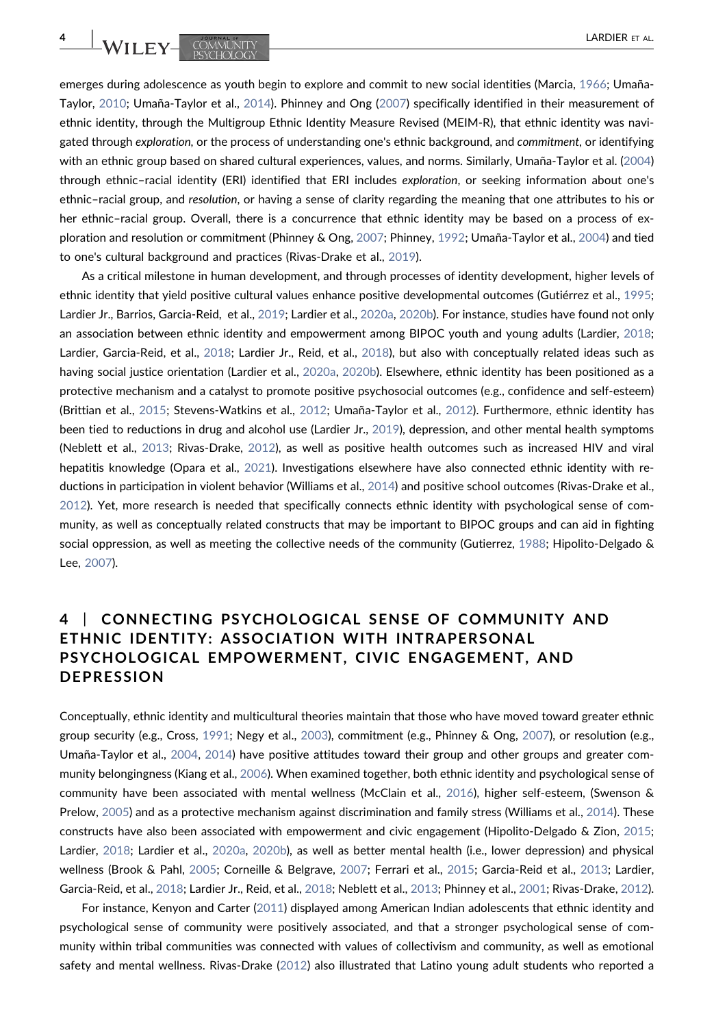WILEY-COMMUNITY

emerges during adolescence as youth begin to explore and commit to new social identities (Marcia, [1966;](#page-16-14) Umaña-Taylor, [2010;](#page-18-7) Umaña‐Taylor et al., [2014\)](#page-18-1). Phinney and Ong [\(2007\)](#page-17-0) specifically identified in their measurement of ethnic identity, through the Multigroup Ethnic Identity Measure Revised (MEIM‐R), that ethnic identity was navigated through exploration, or the process of understanding one's ethnic background, and commitment, or identifying with an ethnic group based on shared cultural experiences, values, and norms. Similarly, Umaña‐Taylor et al. [\(2004](#page-18-6)) through ethnic–racial identity (ERI) identified that ERI includes exploration, or seeking information about one's ethnic–racial group, and resolution, or having a sense of clarity regarding the meaning that one attributes to his or her ethnic–racial group. Overall, there is a concurrence that ethnic identity may be based on a process of exploration and resolution or commitment (Phinney & Ong, [2007;](#page-17-0) Phinney, [1992;](#page-17-7) Umaña‐Taylor et al., [2004](#page-18-6)) and tied to one's cultural background and practices (Rivas‐Drake et al., [2019](#page-17-8)).

As a critical milestone in human development, and through processes of identity development, higher levels of ethnic identity that yield positive cultural values enhance positive developmental outcomes (Gutiérrez et al., [1995](#page-15-10); Lardier Jr., Barrios, Garcia‐Reid, et al., [2019;](#page-15-11) Lardier et al., [2020a](#page-16-3), [2020b](#page-16-4)). For instance, studies have found not only an association between ethnic identity and empowerment among BIPOC youth and young adults (Lardier, [2018](#page-15-0); Lardier, Garcia‐Reid, et al., [2018;](#page-16-8) Lardier Jr., Reid, et al., [2018](#page-16-9)), but also with conceptually related ideas such as having social justice orientation (Lardier et al., [2020a](#page-16-3), [2020b\)](#page-16-4). Elsewhere, ethnic identity has been positioned as a protective mechanism and a catalyst to promote positive psychosocial outcomes (e.g., confidence and self‐esteem) (Brittian et al., [2015;](#page-14-4) Stevens‐Watkins et al., [2012;](#page-18-8) Umaña‐Taylor et al., [2012](#page-18-9)). Furthermore, ethnic identity has been tied to reductions in drug and alcohol use (Lardier Jr., [2019](#page-15-1)), depression, and other mental health symptoms (Neblett et al., [2013;](#page-16-15) Rivas‐Drake, [2012](#page-17-1)), as well as positive health outcomes such as increased HIV and viral hepatitis knowledge (Opara et al., [2021](#page-17-9)). Investigations elsewhere have also connected ethnic identity with reductions in participation in violent behavior (Williams et al., [2014](#page-18-10)) and positive school outcomes (Rivas‐Drake et al., [2012](#page-17-1)). Yet, more research is needed that specifically connects ethnic identity with psychological sense of community, as well as conceptually related constructs that may be important to BIPOC groups and can aid in fighting social oppression, as well as meeting the collective needs of the community (Gutierrez, [1988;](#page-15-12) Hipolito-Delgado & Lee, [2007](#page-15-13)).

# 4 | CONNECTING PSYCHOLOGICAL SENSE OF COMMUNITY AND ETHNIC IDENTITY: ASSOCIATION WITH INTRAPERSONAL PSYCHOLOGICAL EMPOWERMENT, CIVIC ENGAGEMENT, AND **DEPRESSION**

Conceptually, ethnic identity and multicultural theories maintain that those who have moved toward greater ethnic group security (e.g., Cross, [1991;](#page-14-5) Negy et al., [2003\)](#page-16-16), commitment (e.g., Phinney & Ong, [2007](#page-17-0)), or resolution (e.g., Umaña‐Taylor et al., [2004](#page-18-6), [2014\)](#page-18-1) have positive attitudes toward their group and other groups and greater community belongingness (Kiang et al., [2006\)](#page-15-14). When examined together, both ethnic identity and psychological sense of community have been associated with mental wellness (McClain et al., [2016\)](#page-16-17), higher self‐esteem, (Swenson & Prelow, [2005\)](#page-18-11) and as a protective mechanism against discrimination and family stress (Williams et al., [2014\)](#page-18-10). These constructs have also been associated with empowerment and civic engagement (Hipolito-Delgado & Zion, [2015](#page-15-15); Lardier, [2018;](#page-15-0) Lardier et al., [2020a,](#page-16-3) [2020b\)](#page-16-4), as well as better mental health (i.e., lower depression) and physical wellness (Brook & Pahl, [2005](#page-14-6); Corneille & Belgrave, [2007](#page-14-7); Ferrari et al., [2015](#page-14-8); Garcia‐Reid et al., [2013;](#page-15-2) Lardier, Garcia‐Reid, et al., [2018](#page-16-8); Lardier Jr., Reid, et al., [2018;](#page-16-9) Neblett et al., [2013](#page-16-15); Phinney et al., [2001](#page-17-10); Rivas‐Drake, [2012](#page-17-1)).

For instance, Kenyon and Carter [\(2011\)](#page-15-3) displayed among American Indian adolescents that ethnic identity and psychological sense of community were positively associated, and that a stronger psychological sense of community within tribal communities was connected with values of collectivism and community, as well as emotional safety and mental wellness. Rivas‐Drake [\(2012\)](#page-17-1) also illustrated that Latino young adult students who reported a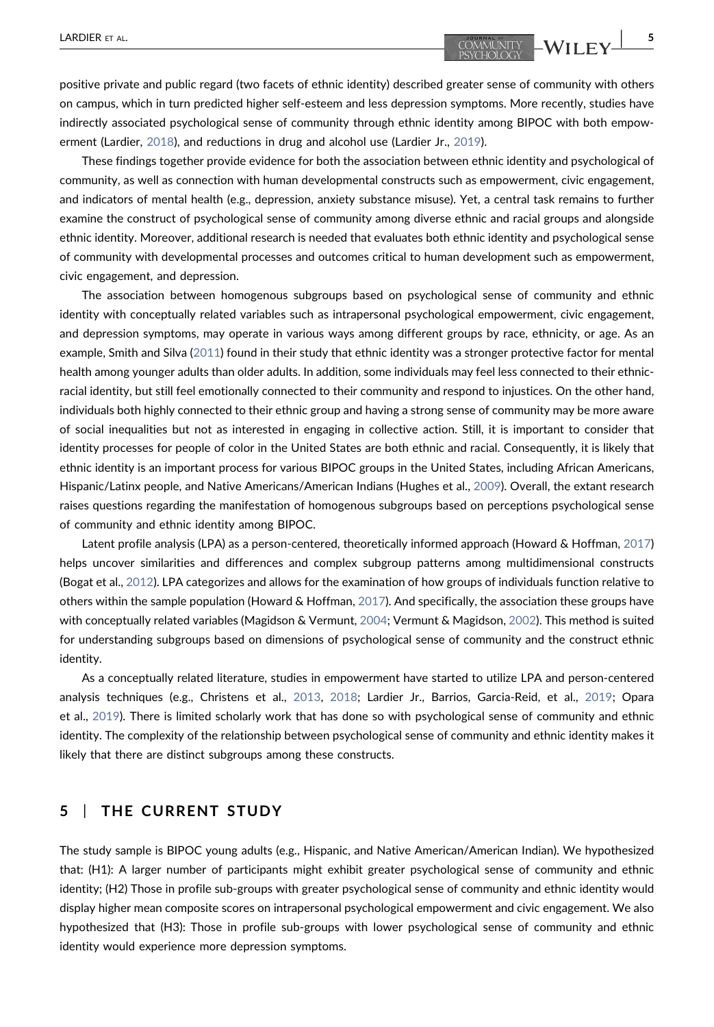positive private and public regard (two facets of ethnic identity) described greater sense of community with others on campus, which in turn predicted higher self‐esteem and less depression symptoms. More recently, studies have indirectly associated psychological sense of community through ethnic identity among BIPOC with both empowerment (Lardier, [2018](#page-15-0)), and reductions in drug and alcohol use (Lardier Jr., [2019\)](#page-15-1).

These findings together provide evidence for both the association between ethnic identity and psychological of community, as well as connection with human developmental constructs such as empowerment, civic engagement, and indicators of mental health (e.g., depression, anxiety substance misuse). Yet, a central task remains to further examine the construct of psychological sense of community among diverse ethnic and racial groups and alongside ethnic identity. Moreover, additional research is needed that evaluates both ethnic identity and psychological sense of community with developmental processes and outcomes critical to human development such as empowerment, civic engagement, and depression.

The association between homogenous subgroups based on psychological sense of community and ethnic identity with conceptually related variables such as intrapersonal psychological empowerment, civic engagement, and depression symptoms, may operate in various ways among different groups by race, ethnicity, or age. As an example, Smith and Silva [\(2011\)](#page-17-11) found in their study that ethnic identity was a stronger protective factor for mental health among younger adults than older adults. In addition, some individuals may feel less connected to their ethnic‐ racial identity, but still feel emotionally connected to their community and respond to injustices. On the other hand, individuals both highly connected to their ethnic group and having a strong sense of community may be more aware of social inequalities but not as interested in engaging in collective action. Still, it is important to consider that identity processes for people of color in the United States are both ethnic and racial. Consequently, it is likely that ethnic identity is an important process for various BIPOC groups in the United States, including African Americans, Hispanic/Latinx people, and Native Americans/American Indians (Hughes et al., [2009](#page-15-16)). Overall, the extant research raises questions regarding the manifestation of homogenous subgroups based on perceptions psychological sense of community and ethnic identity among BIPOC.

Latent profile analysis (LPA) as a person-centered, theoretically informed approach (Howard & Hoffman, [2017](#page-15-17)) helps uncover similarities and differences and complex subgroup patterns among multidimensional constructs (Bogat et al., [2012](#page-14-9)). LPA categorizes and allows for the examination of how groups of individuals function relative to others within the sample population (Howard & Hoffman, [2017\)](#page-15-17). And specifically, the association these groups have with conceptually related variables (Magidson & Vermunt, [2004;](#page-16-18) Vermunt & Magidson, [2002](#page-18-12)). This method is suited for understanding subgroups based on dimensions of psychological sense of community and the construct ethnic identity.

As a conceptually related literature, studies in empowerment have started to utilize LPA and person‐centered analysis techniques (e.g., Christens et al., [2013,](#page-14-10) [2018;](#page-14-11) Lardier Jr., Barrios, Garcia‐Reid, et al., [2019;](#page-15-11) Opara et al., [2019](#page-17-12)). There is limited scholarly work that has done so with psychological sense of community and ethnic identity. The complexity of the relationship between psychological sense of community and ethnic identity makes it likely that there are distinct subgroups among these constructs.

## 5 | THE CURRENT STUDY

The study sample is BIPOC young adults (e.g., Hispanic, and Native American/American Indian). We hypothesized that: (H1): A larger number of participants might exhibit greater psychological sense of community and ethnic identity; (H2) Those in profile sub‐groups with greater psychological sense of community and ethnic identity would display higher mean composite scores on intrapersonal psychological empowerment and civic engagement. We also hypothesized that (H3): Those in profile sub‐groups with lower psychological sense of community and ethnic identity would experience more depression symptoms.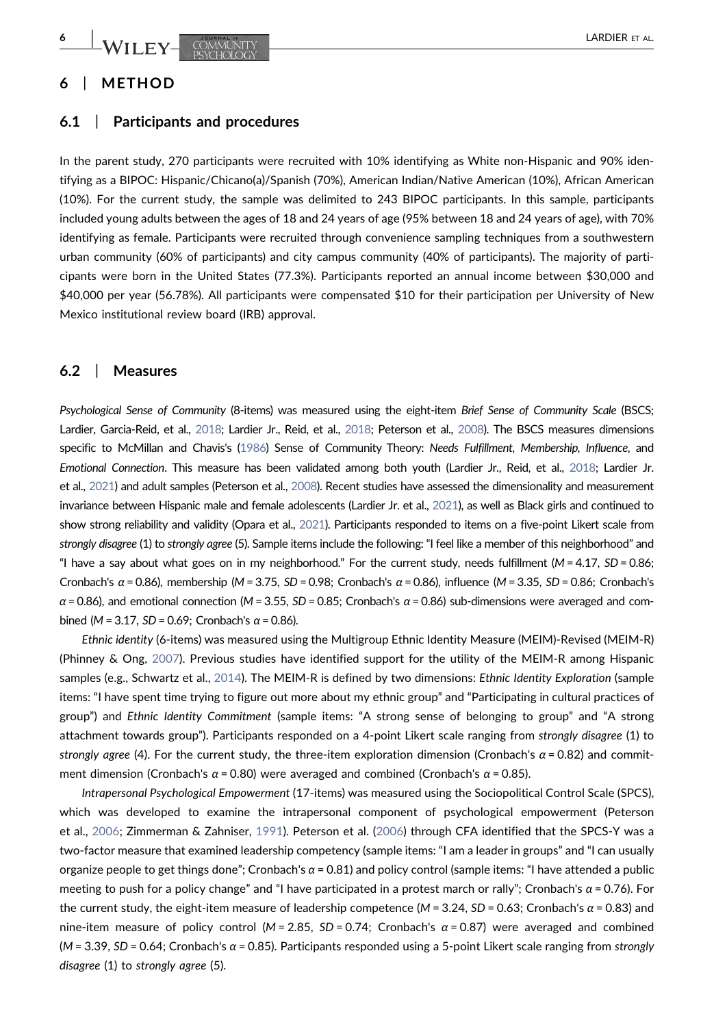# 6 | METHOD

#### 6.1 | Participants and procedures

In the parent study, 270 participants were recruited with 10% identifying as White non-Hispanic and 90% identifying as a BIPOC: Hispanic/Chicano(a)/Spanish (70%), American Indian/Native American (10%), African American (10%). For the current study, the sample was delimited to 243 BIPOC participants. In this sample, participants included young adults between the ages of 18 and 24 years of age (95% between 18 and 24 years of age), with 70% identifying as female. Participants were recruited through convenience sampling techniques from a southwestern urban community (60% of participants) and city campus community (40% of participants). The majority of participants were born in the United States (77.3%). Participants reported an annual income between \$30,000 and \$40,000 per year (56.78%). All participants were compensated \$10 for their participation per University of New Mexico institutional review board (IRB) approval.

## 6.2 | Measures

Psychological Sense of Community (8‐items) was measured using the eight‐item Brief Sense of Community Scale (BSCS; Lardier, Garcia‐Reid, et al., [2018](#page-16-8); Lardier Jr., Reid, et al., [2018;](#page-16-9) Peterson et al., [2008](#page-17-13)). The BSCS measures dimensions specific to McMillan and Chavis's [\(1986\)](#page-16-1) Sense of Community Theory: Needs Fulfillment, Membership, Influence, and Emotional Connection. This measure has been validated among both youth (Lardier Jr., Reid, et al., [2018](#page-16-9); Lardier Jr. et al., [2021\)](#page-16-5) and adult samples (Peterson et al., [2008](#page-17-13)). Recent studies have assessed the dimensionality and measurement invariance between Hispanic male and female adolescents (Lardier Jr. et al., [2021](#page-16-5)), as well as Black girls and continued to show strong reliability and validity (Opara et al., [2021\)](#page-17-9). Participants responded to items on a five‐point Likert scale from strongly disagree (1) to strongly agree (5). Sample items include the following: "I feel like a member of this neighborhood" and "I have a say about what goes on in my neighborhood." For the current study, needs fulfillment ( $M = 4.17$ ,  $SD = 0.86$ ; Cronbach's  $\alpha$  = 0.86), membership (M = 3.75, SD = 0.98; Cronbach's  $\alpha$  = 0.86), influence (M = 3.35, SD = 0.86; Cronbach's  $\alpha$  = 0.86), and emotional connection (M = 3.55, SD = 0.85; Cronbach's  $\alpha$  = 0.86) sub-dimensions were averaged and combined ( $M = 3.17$ , SD = 0.69; Cronbach's α = 0.86).

Ethnic identity (6‐items) was measured using the Multigroup Ethnic Identity Measure (MEIM)‐Revised (MEIM‐R) (Phinney & Ong, [2007\)](#page-17-0). Previous studies have identified support for the utility of the MEIM‐R among Hispanic samples (e.g., Schwartz et al., [2014\)](#page-17-14). The MEIM-R is defined by two dimensions: Ethnic Identity Exploration (sample items: "I have spent time trying to figure out more about my ethnic group" and "Participating in cultural practices of group") and Ethnic Identity Commitment (sample items: "A strong sense of belonging to group" and "A strong attachment towards group"). Participants responded on a 4‐point Likert scale ranging from strongly disagree (1) to strongly agree (4). For the current study, the three-item exploration dimension (Cronbach's  $\alpha$  = 0.82) and commitment dimension (Cronbach's  $\alpha$  = 0.80) were averaged and combined (Cronbach's  $\alpha$  = 0.85).

Intrapersonal Psychological Empowerment (17‐items) was measured using the Sociopolitical Control Scale (SPCS), which was developed to examine the intrapersonal component of psychological empowerment (Peterson et al., [2006](#page-17-15); Zimmerman & Zahniser, [1991](#page-18-13)). Peterson et al. [\(2006\)](#page-17-15) through CFA identified that the SPCS‐Y was a two‐factor measure that examined leadership competency (sample items: "I am a leader in groups" and "I can usually organize people to get things done"; Cronbach's  $\alpha$  = 0.81) and policy control (sample items: "I have attended a public meeting to push for a policy change" and "I have participated in a protest march or rally"; Cronbach's  $\alpha$  = 0.76). For the current study, the eight-item measure of leadership competence (M = 3.24, SD = 0.63; Cronbach's  $\alpha$  = 0.83) and nine-item measure of policy control (M = 2.85, SD = 0.74; Cronbach's  $\alpha$  = 0.87) were averaged and combined  $(M = 3.39, SD = 0.64; Cronbach's  $\alpha = 0.85$ ). Participants responded using a 5-point Likert scale ranging from strongly$ disagree (1) to strongly agree (5).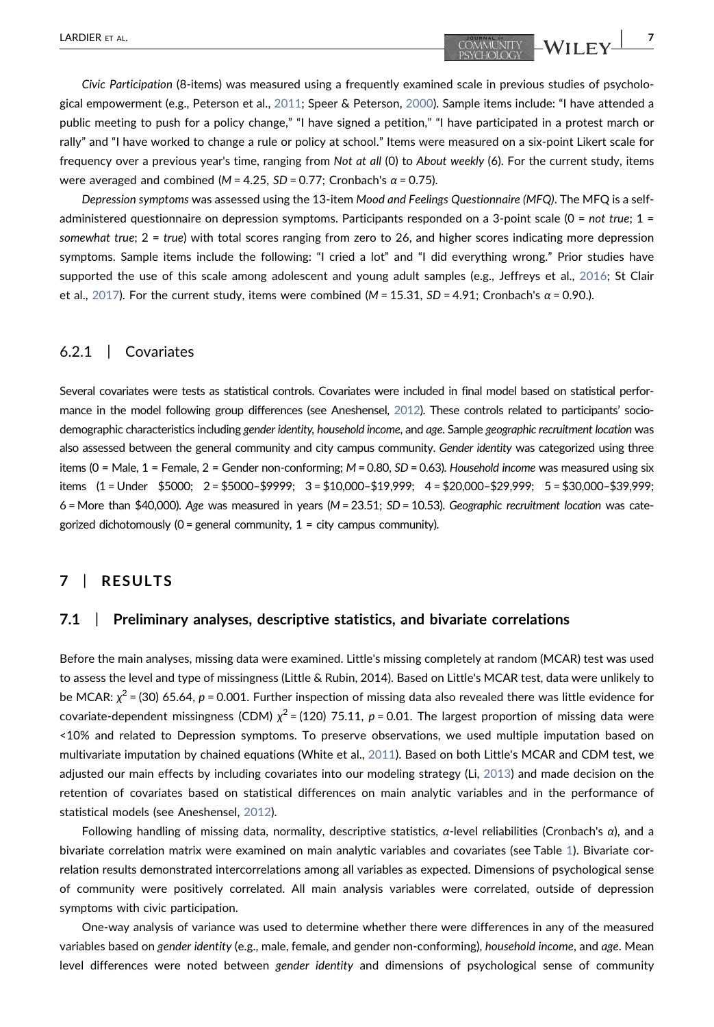Civic Participation (8‐items) was measured using a frequently examined scale in previous studies of psychological empowerment (e.g., Peterson et al., [2011;](#page-17-16) Speer & Peterson, [2000](#page-17-17)). Sample items include: "I have attended a public meeting to push for a policy change," "I have signed a petition," "I have participated in a protest march or rally" and "I have worked to change a rule or policy at school." Items were measured on a six‐point Likert scale for frequency over a previous year's time, ranging from Not at all (0) to About weekly (6). For the current study, items were averaged and combined ( $M = 4.25$ ,  $SD = 0.77$ ; Cronbach's  $\alpha = 0.75$ ).

Depression symptoms was assessed using the 13-item Mood and Feelings Questionnaire (MFQ). The MFQ is a selfadministered questionnaire on depression symptoms. Participants responded on a 3-point scale ( $0 = not true$ ;  $1 =$ somewhat true; 2 = true) with total scores ranging from zero to 26, and higher scores indicating more depression symptoms. Sample items include the following: "I cried a lot" and "I did everything wrong." Prior studies have supported the use of this scale among adolescent and young adult samples (e.g., Jeffreys et al., [2016](#page-15-18); St Clair et al., [2017](#page-17-18)). For the current study, items were combined (M = 15.31, SD = 4.91; Cronbach's  $\alpha$  = 0.90.).

### 6.2.1 | Covariates

Several covariates were tests as statistical controls. Covariates were included in final model based on statistical performance in the model following group differences (see Aneshensel, [2012](#page-14-12)). These controls related to participants' sociodemographic characteristics including gender identity, household income, and age. Sample geographic recruitment location was also assessed between the general community and city campus community. Gender identity was categorized using three items ( $0 =$  Male,  $1 =$  Female,  $2 =$  Gender non-conforming;  $M = 0.80$ ,  $SD = 0.63$ ). Household income was measured using six items (1 = Under \$5000; 2 = \$5000–\$9999; 3 = \$10,000–\$19,999; 4 = \$20,000–\$29,999; 5 = \$30,000–\$39,999;  $6$  = More than \$40,000). Age was measured in years ( $M = 23.51$ ;  $SD = 10.53$ ). Geographic recruitment location was categorized dichotomously ( $0$  = general community,  $1$  = city campus community).

## 7 | RESULTS

#### 7.1 | Preliminary analyses, descriptive statistics, and bivariate correlations

Before the main analyses, missing data were examined. Little's missing completely at random (MCAR) test was used to assess the level and type of missingness (Little & Rubin, 2014). Based on Little's MCAR test, data were unlikely to be MCAR:  $\chi^2$  = (30) 65.64, p = 0.001. Further inspection of missing data also revealed there was little evidence for covariate-dependent missingness (CDM)  $\chi^2$  = (120) 75.11, p = 0.01. The largest proportion of missing data were <10% and related to Depression symptoms. To preserve observations, we used multiple imputation based on multivariate imputation by chained equations (White et al., [2011\)](#page-18-14). Based on both Little's MCAR and CDM test, we adjusted our main effects by including covariates into our modeling strategy (Li, [2013\)](#page-16-19) and made decision on the retention of covariates based on statistical differences on main analytic variables and in the performance of statistical models (see Aneshensel, [2012](#page-14-12)).

Following handling of missing data, normality, descriptive statistics,  $α$ -level reliabilities (Cronbach's  $α$ ), and a bivariate correlation matrix were examined on main analytic variables and covariates (see Table [1](#page-7-0)). Bivariate correlation results demonstrated intercorrelations among all variables as expected. Dimensions of psychological sense of community were positively correlated. All main analysis variables were correlated, outside of depression symptoms with civic participation.

One‐way analysis of variance was used to determine whether there were differences in any of the measured variables based on gender identity (e.g., male, female, and gender non‐conforming), household income, and age. Mean level differences were noted between gender identity and dimensions of psychological sense of community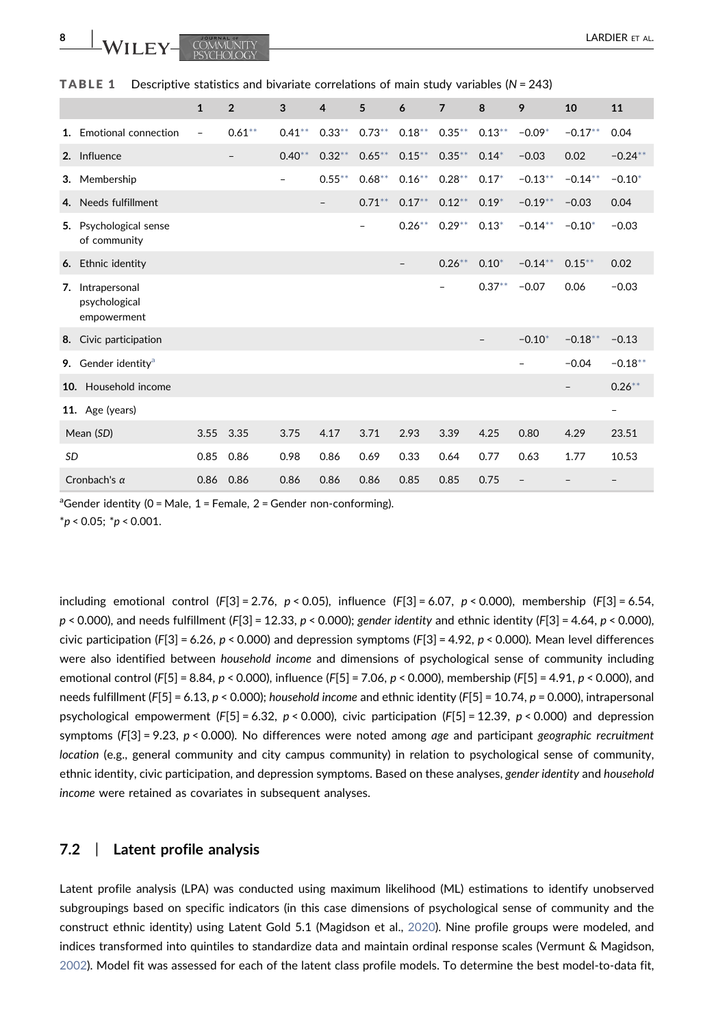<span id="page-7-0"></span>

|  | <b>TABLE 1</b> Descriptive statistics and bivariate correlations of main study variables ( $N = 243$ ) |  |  |  |  |  |  |  |  |  |
|--|--------------------------------------------------------------------------------------------------------|--|--|--|--|--|--|--|--|--|
|--|--------------------------------------------------------------------------------------------------------|--|--|--|--|--|--|--|--|--|

|                 |                                               | $\mathbf{1}$             | $\overline{2}$ | 3                        | $\overline{4}$    | 5         | 6         | $\overline{7}$ | 8         | 9          | 10         | 11                       |
|-----------------|-----------------------------------------------|--------------------------|----------------|--------------------------|-------------------|-----------|-----------|----------------|-----------|------------|------------|--------------------------|
| $1_{-}$         | Emotional connection                          | $\overline{\phantom{a}}$ | $0.61***$      | $0.41***$                | $0.33***$         | $0.73***$ | $0.18***$ | $0.35***$      | $0.13***$ | $-0.09*$   | $-0.17***$ | 0.04                     |
|                 | 2. Influence                                  |                          |                | $0.40**$                 | 0.32              | $0.65***$ | $0.15***$ | $0.35***$      | $0.14*$   | $-0.03$    | 0.02       | $-0.24**$                |
|                 | 3. Membership                                 |                          |                | $\overline{\phantom{0}}$ | $0.55***$         | $0.68***$ | $0.16***$ | $0.28**$       | $0.17*$   | $-0.13**$  | $-0.14***$ | $-0.10*$                 |
|                 | 4. Needs fulfillment                          |                          |                |                          | $\qquad \qquad -$ | $0.71***$ | $0.17***$ | $0.12***$      | $0.19*$   | $-0.19**$  | $-0.03$    | 0.04                     |
| 5.              | Psychological sense<br>of community           |                          |                |                          |                   |           | $0.26***$ | $0.29**$       | $0.13*$   | $-0.14**$  | $-0.10*$   | $-0.03$                  |
|                 | 6. Ethnic identity                            |                          |                |                          |                   |           |           | $0.26***$      | $0.10*$   | $-0.14***$ | $0.15***$  | 0.02                     |
| 7.              | Intrapersonal<br>psychological<br>empowerment |                          |                |                          |                   |           |           | -              | $0.37**$  | $-0.07$    | 0.06       | $-0.03$                  |
| 8.              | Civic participation                           |                          |                |                          |                   |           |           |                |           | $-0.10*$   | $-0.18**$  | $-0.13$                  |
|                 | 9. Gender identity <sup>a</sup>               |                          |                |                          |                   |           |           |                |           |            | $-0.04$    | $-0.18**$                |
| 10 <sub>1</sub> | Household income                              |                          |                |                          |                   |           |           |                |           |            |            | $0.26***$                |
|                 | 11. Age (years)                               |                          |                |                          |                   |           |           |                |           |            |            | $\overline{\phantom{a}}$ |
|                 | Mean (SD)                                     | 3.55                     | 3.35           | 3.75                     | 4.17              | 3.71      | 2.93      | 3.39           | 4.25      | 0.80       | 4.29       | 23.51                    |
| <b>SD</b>       |                                               | 0.85                     | 0.86           | 0.98                     | 0.86              | 0.69      | 0.33      | 0.64           | 0.77      | 0.63       | 1.77       | 10.53                    |
|                 | Cronbach's $\alpha$                           | 0.86                     | 0.86           | 0.86                     | 0.86              | 0.86      | 0.85      | 0.85           | 0.75      |            |            |                          |

<span id="page-7-2"></span><span id="page-7-1"></span><sup>a</sup>Gender identity (0 = Male, 1 = Female, 2 = Gender non-conforming).  $*p < 0.05; *p < 0.001.$ 

including emotional control (F[3] = 2.76,  $p < 0.05$ ), influence (F[3] = 6.07,  $p < 0.000$ ), membership (F[3] = 6.54,  $p < 0.000$ ), and needs fulfillment (F[3] = 12.33,  $p < 0.000$ ); gender identity and ethnic identity (F[3] = 4.64,  $p < 0.000$ ), civic participation (F[3] = 6.26,  $p < 0.000$ ) and depression symptoms (F[3] = 4.92,  $p < 0.000$ ). Mean level differences were also identified between household income and dimensions of psychological sense of community including emotional control (F[5] = 8.84, p < 0.000), influence (F[5] = 7.06, p < 0.000), membership (F[5] = 4.91, p < 0.000), and needs fulfillment (F[5] = 6.13,  $p < 0.000$ ); household income and ethnic identity (F[5] = 10.74,  $p = 0.000$ ), intrapersonal psychological empowerment (F[5] = 6.32,  $p < 0.000$ ), civic participation (F[5] = 12.39,  $p < 0.000$ ) and depression symptoms  $(F[3] = 9.23, p < 0.000)$ . No differences were noted among age and participant geographic recruitment location (e.g., general community and city campus community) in relation to psychological sense of community, ethnic identity, civic participation, and depression symptoms. Based on these analyses, gender identity and household income were retained as covariates in subsequent analyses.

### 7.2 | Latent profile analysis

Latent profile analysis (LPA) was conducted using maximum likelihood (ML) estimations to identify unobserved subgroupings based on specific indicators (in this case dimensions of psychological sense of community and the construct ethnic identity) using Latent Gold 5.1 (Magidson et al., [2020\)](#page-16-20). Nine profile groups were modeled, and indices transformed into quintiles to standardize data and maintain ordinal response scales (Vermunt & Magidson, [2002](#page-18-12)). Model fit was assessed for each of the latent class profile models. To determine the best model‐to‐data fit,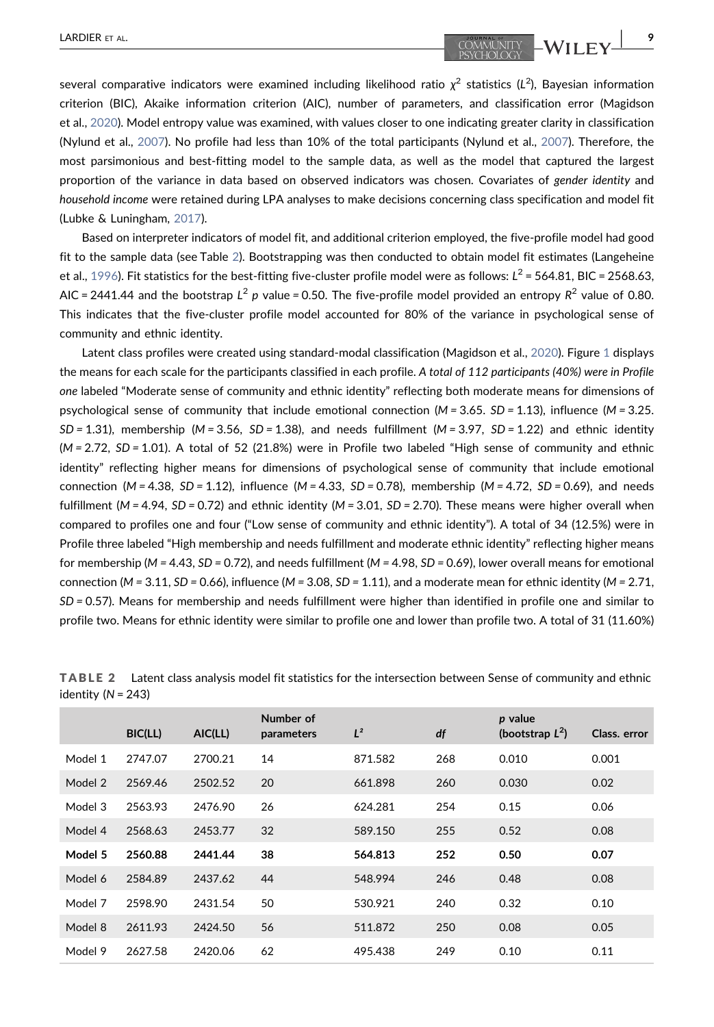several comparative indicators were examined including likelihood ratio  $\chi^2$  statistics (L<sup>2</sup>), Bayesian information criterion (BIC), Akaike information criterion (AIC), number of parameters, and classification error (Magidson et al., [2020\)](#page-16-20). Model entropy value was examined, with values closer to one indicating greater clarity in classification (Nylund et al., [2007](#page-16-21)). No profile had less than 10% of the total participants (Nylund et al., [2007](#page-16-21)). Therefore, the most parsimonious and best‐fitting model to the sample data, as well as the model that captured the largest proportion of the variance in data based on observed indicators was chosen. Covariates of gender identity and household income were retained during LPA analyses to make decisions concerning class specification and model fit (Lubke & Luningham, [2017\)](#page-16-22).

Based on interpreter indicators of model fit, and additional criterion employed, the five-profile model had good fit to the sample data (see Table [2](#page-8-0)). Bootstrapping was then conducted to obtain model fit estimates (Langeheine et al., [1996](#page-15-19)). Fit statistics for the best-fitting five-cluster profile model were as follows:  $L^2 = 564.81$ , BIC = 2568.63, AIC = 2441.44 and the bootstrap  $L^2$  p value = 0.50. The five-profile model provided an entropy  $R^2$  value of 0.80. This indicates that the five‐cluster profile model accounted for 80% of the variance in psychological sense of community and ethnic identity.

Latent class profiles were created using standard-modal classification (Magidson et al., [2020](#page-16-20)). Figure [1](#page-9-0) displays the means for each scale for the participants classified in each profile. A total of 112 participants (40%) were in Profile one labeled "Moderate sense of community and ethnic identity" reflecting both moderate means for dimensions of psychological sense of community that include emotional connection ( $M = 3.65$ .  $SD = 1.13$ ), influence ( $M = 3.25$ .  $SD = 1.31$ ), membership (M = 3.56,  $SD = 1.38$ ), and needs fulfillment (M = 3.97,  $SD = 1.22$ ) and ethnic identity (M = 2.72, SD = 1.01). A total of 52 (21.8%) were in Profile two labeled "High sense of community and ethnic identity" reflecting higher means for dimensions of psychological sense of community that include emotional connection ( $M = 4.38$ ,  $SD = 1.12$ ), influence ( $M = 4.33$ ,  $SD = 0.78$ ), membership ( $M = 4.72$ ,  $SD = 0.69$ ), and needs fulfillment ( $M = 4.94$ , SD = 0.72) and ethnic identity ( $M = 3.01$ , SD = 2.70). These means were higher overall when compared to profiles one and four ("Low sense of community and ethnic identity"). A total of 34 (12.5%) were in Profile three labeled "High membership and needs fulfillment and moderate ethnic identity" reflecting higher means for membership ( $M = 4.43$ , SD = 0.72), and needs fulfillment ( $M = 4.98$ , SD = 0.69), lower overall means for emotional connection ( $M = 3.11$ ,  $SD = 0.66$ ), influence ( $M = 3.08$ ,  $SD = 1.11$ ), and a moderate mean for ethnic identity ( $M = 2.71$ , SD = 0.57). Means for membership and needs fulfillment were higher than identified in profile one and similar to profile two. Means for ethnic identity were similar to profile one and lower than profile two. A total of 31 (11.60%)

|         | BIC(LL) | AIC(LL) | Number of<br>parameters | $L^2$   | df  | p value<br>(bootstrap $L^2$ ) | Class, error |
|---------|---------|---------|-------------------------|---------|-----|-------------------------------|--------------|
| Model 1 | 2747.07 | 2700.21 | 14                      | 871.582 | 268 | 0.010                         | 0.001        |
| Model 2 | 2569.46 | 2502.52 | 20                      | 661.898 | 260 | 0.030                         | 0.02         |
| Model 3 | 2563.93 | 2476.90 | 26                      | 624.281 | 254 | 0.15                          | 0.06         |
| Model 4 | 2568.63 | 2453.77 | 32                      | 589.150 | 255 | 0.52                          | 0.08         |
| Model 5 | 2560.88 | 2441.44 | 38                      | 564.813 | 252 | 0.50                          | 0.07         |
| Model 6 | 2584.89 | 2437.62 | 44                      | 548.994 | 246 | 0.48                          | 0.08         |
| Model 7 | 2598.90 | 2431.54 | 50                      | 530.921 | 240 | 0.32                          | 0.10         |
| Model 8 | 2611.93 | 2424.50 | 56                      | 511.872 | 250 | 0.08                          | 0.05         |
| Model 9 | 2627.58 | 2420.06 | 62                      | 495.438 | 249 | 0.10                          | 0.11         |

<span id="page-8-0"></span>TABLE 2 Latent class analysis model fit statistics for the intersection between Sense of community and ethnic identity ( $N = 243$ )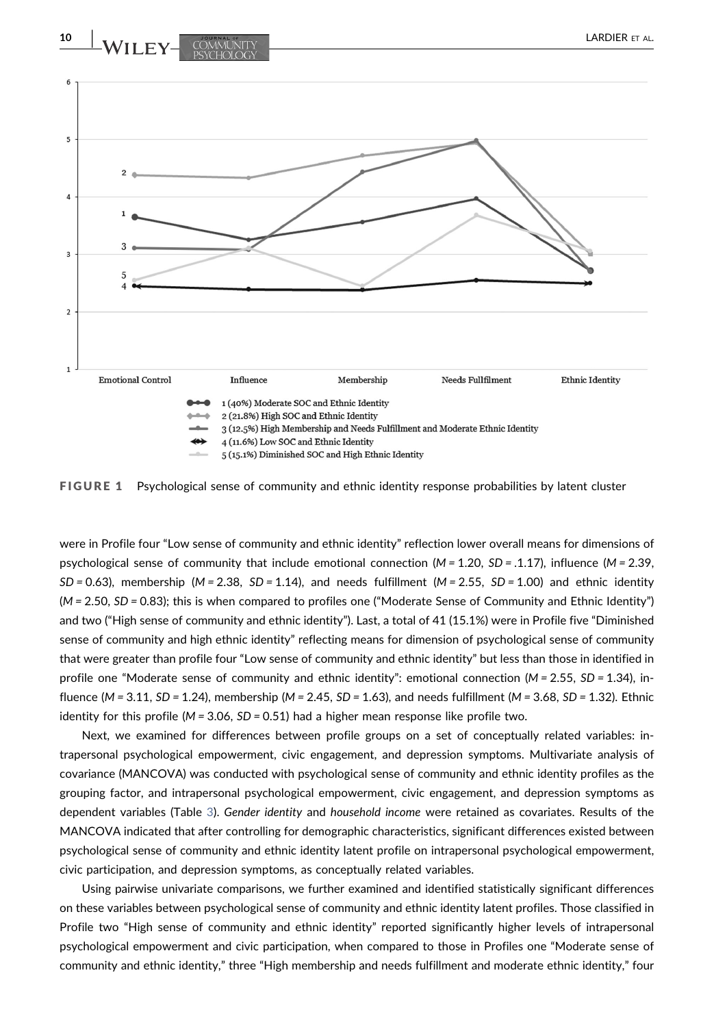<span id="page-9-0"></span>

FIGURE 1 Psychological sense of community and ethnic identity response probabilities by latent cluster

were in Profile four "Low sense of community and ethnic identity" reflection lower overall means for dimensions of psychological sense of community that include emotional connection  $(M = 1.20, SD = .1.17)$ , influence  $(M = 2.39,$  $SD = 0.63$ ), membership (M = 2.38,  $SD = 1.14$ ), and needs fulfillment (M = 2.55,  $SD = 1.00$ ) and ethnic identity (M = 2.50, SD = 0.83); this is when compared to profiles one ("Moderate Sense of Community and Ethnic Identity") and two ("High sense of community and ethnic identity"). Last, a total of 41 (15.1%) were in Profile five "Diminished sense of community and high ethnic identity" reflecting means for dimension of psychological sense of community that were greater than profile four "Low sense of community and ethnic identity" but less than those in identified in profile one "Moderate sense of community and ethnic identity": emotional connection ( $M = 2.55$ ,  $SD = 1.34$ ), influence (M = 3.11, SD = 1.24), membership (M = 2.45, SD = 1.63), and needs fulfillment (M = 3.68, SD = 1.32). Ethnic identity for this profile ( $M = 3.06$ ,  $SD = 0.51$ ) had a higher mean response like profile two.

Next, we examined for differences between profile groups on a set of conceptually related variables: intrapersonal psychological empowerment, civic engagement, and depression symptoms. Multivariate analysis of covariance (MANCOVA) was conducted with psychological sense of community and ethnic identity profiles as the grouping factor, and intrapersonal psychological empowerment, civic engagement, and depression symptoms as dependent variables (Table [3](#page-10-0)). Gender identity and household income were retained as covariates. Results of the MANCOVA indicated that after controlling for demographic characteristics, significant differences existed between psychological sense of community and ethnic identity latent profile on intrapersonal psychological empowerment, civic participation, and depression symptoms, as conceptually related variables.

Using pairwise univariate comparisons, we further examined and identified statistically significant differences on these variables between psychological sense of community and ethnic identity latent profiles. Those classified in Profile two "High sense of community and ethnic identity" reported significantly higher levels of intrapersonal psychological empowerment and civic participation, when compared to those in Profiles one "Moderate sense of community and ethnic identity," three "High membership and needs fulfillment and moderate ethnic identity," four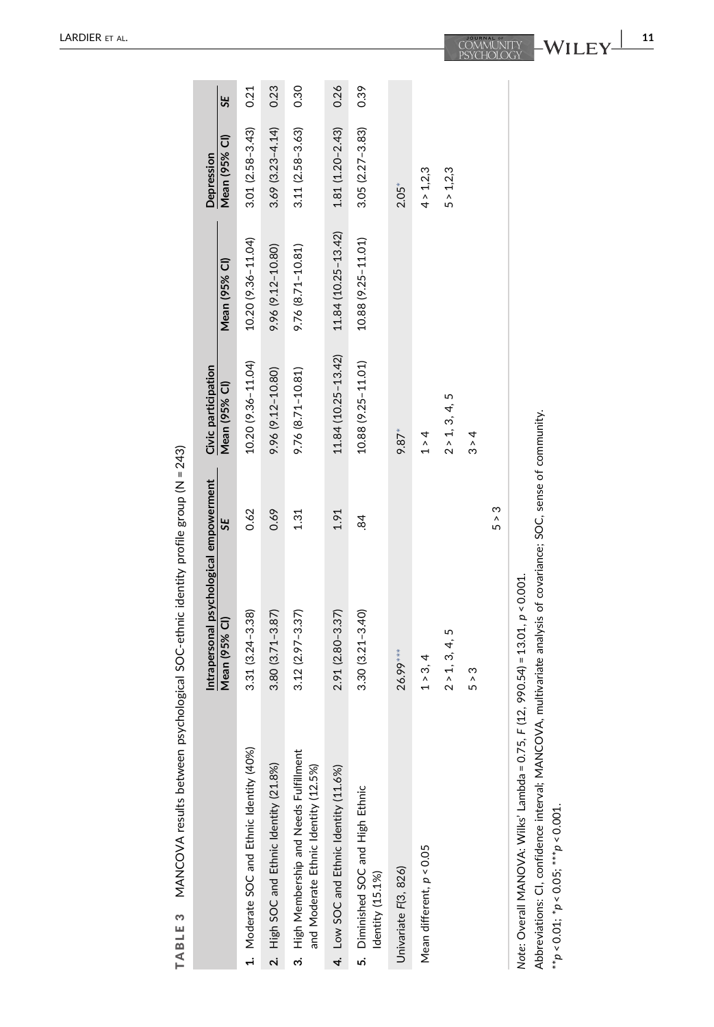<span id="page-10-0"></span>

|                                                                                                                                                                                                                   | Intrapersonal psychological empowerment |       | Civic participation |                     | Depression             |      |
|-------------------------------------------------------------------------------------------------------------------------------------------------------------------------------------------------------------------|-----------------------------------------|-------|---------------------|---------------------|------------------------|------|
|                                                                                                                                                                                                                   | Mean (95% Cl)                           | 55    | Mean (95% Cl)       | Mean (95% CI)       | Mean (95% CI)          | 5E   |
| 1. Moderate SOC and Ethnic Identity (40%)                                                                                                                                                                         | $3.31(3.24 - 3.38)$                     | 0.62  | 10.20 (9.36-11.04)  | 10.20 (9.36-11.04)  | $3.01(2.58 - 3.43)$    | 0.21 |
| 2. High SOC and Ethnic Identity (21.8%)                                                                                                                                                                           | $3.80(3.71 - 3.87)$                     | 0.69  | 9.96 (9.12-10.80)   | 9.96 (9.12-10.80)   | $3.69$ $(3.23 - 4.14)$ | 0.23 |
| High Membership and Needs Fulfillment<br>and Moderate Ethnic Identity (12.5%)<br><sub>က</sub>                                                                                                                     | $3.12(2.97 - 3.37)$                     | 1.31  | 9.76 (8.71-10.81)   | 9.76 (8.71-10.81)   | $3.11(2.58 - 3.63)$    | 0.30 |
| 4. Low SOC and Ethnic Identity (11.6%)                                                                                                                                                                            | $2.91(2.80 - 3.37)$                     | 1.91  | 11.84 (10.25-13.42) | 11.84 (10.25-13.42) | $1.81(1.20 - 2.43)$    | 0.26 |
| 5. Diminished SOC and High Ethnic<br>Identity (15.1%)                                                                                                                                                             | $3.30(3.21 - 3.40)$                     | œ.    | 10.88 (9.25-11.01)  | 10.88 (9.25-11.01)  | $3.05(2.27 - 3.83)$    | 0.39 |
| Univariate F(3, 826)                                                                                                                                                                                              | 26.99**                                 |       | $9.87*$             |                     | $2.05*$                |      |
| Mean different, $p < 0.05$                                                                                                                                                                                        | 1 > 3, 4                                |       | $1 \rangle 4$       |                     | 4 > 1,2,3              |      |
|                                                                                                                                                                                                                   | 5<br>2 > 1, 3, 4,                       |       | 2 > 1, 3, 4, 5      |                     | 5 > 1,2,3              |      |
|                                                                                                                                                                                                                   | 5 > 3                                   |       | $3 \times 4$        |                     |                        |      |
|                                                                                                                                                                                                                   |                                         | 5 > 3 |                     |                     |                        |      |
| Abbreviations: CI, confidence interval; MANCOVA, multivariate analysis of covariance; SOC, sense of community.<br>Note: Overall MANOVA: Wilks' Lambda = 0.75,<br>** $p < 0.01$ ; * $p < 0.05$ ; *** $p < 0.001$ . | $F(12, 990.54) = 13.01, p < 0.001.$     |       |                     |                     |                        |      |

MANCOVA results between psychological SOC-ethnic identity profile group (N = 243) TABLE 3 MANCOVA results between psychological SOC‐ethnic identity profile group (N = 243) TABLE 3

<span id="page-10-1"></span>

| 11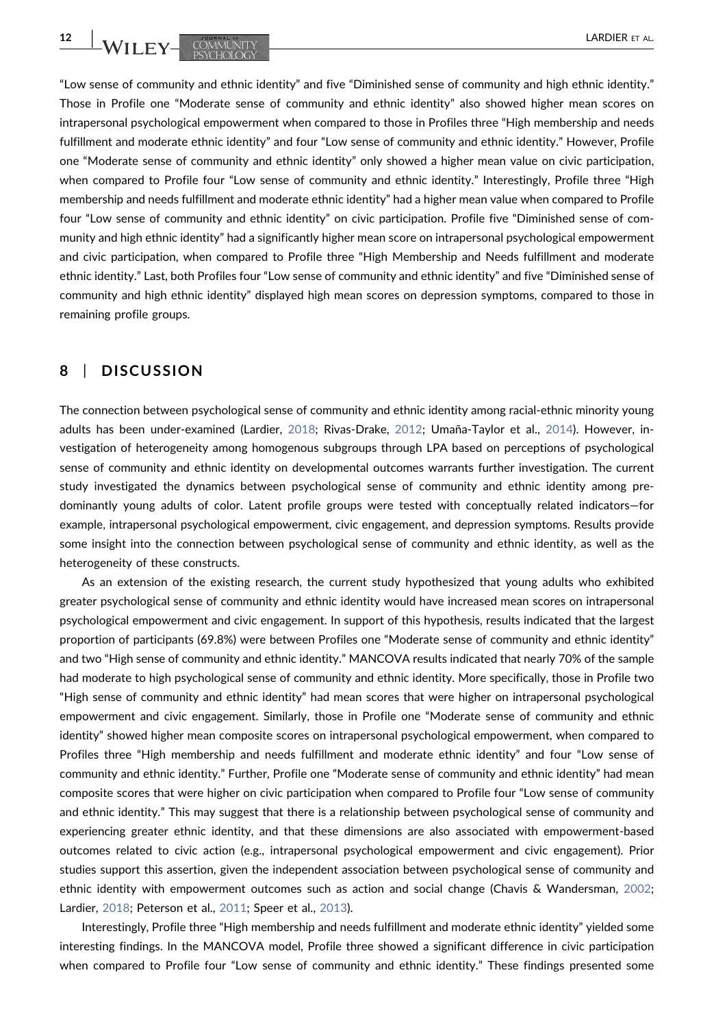12 | LARDIER ET AL.

"Low sense of community and ethnic identity" and five "Diminished sense of community and high ethnic identity." Those in Profile one "Moderate sense of community and ethnic identity" also showed higher mean scores on intrapersonal psychological empowerment when compared to those in Profiles three "High membership and needs fulfillment and moderate ethnic identity" and four "Low sense of community and ethnic identity." However, Profile one "Moderate sense of community and ethnic identity" only showed a higher mean value on civic participation, when compared to Profile four "Low sense of community and ethnic identity." Interestingly, Profile three "High membership and needs fulfillment and moderate ethnic identity" had a higher mean value when compared to Profile four "Low sense of community and ethnic identity" on civic participation. Profile five "Diminished sense of community and high ethnic identity" had a significantly higher mean score on intrapersonal psychological empowerment and civic participation, when compared to Profile three "High Membership and Needs fulfillment and moderate ethnic identity." Last, both Profiles four "Low sense of community and ethnic identity" and five "Diminished sense of community and high ethnic identity" displayed high mean scores on depression symptoms, compared to those in remaining profile groups.

## 8 | DISCUSSION

The connection between psychological sense of community and ethnic identity among racial‐ethnic minority young adults has been under‐examined (Lardier, [2018](#page-15-0); Rivas‐Drake, [2012;](#page-17-1) Umaña‐Taylor et al., [2014](#page-18-1)). However, investigation of heterogeneity among homogenous subgroups through LPA based on perceptions of psychological sense of community and ethnic identity on developmental outcomes warrants further investigation. The current study investigated the dynamics between psychological sense of community and ethnic identity among predominantly young adults of color. Latent profile groups were tested with conceptually related indicators—for example, intrapersonal psychological empowerment, civic engagement, and depression symptoms. Results provide some insight into the connection between psychological sense of community and ethnic identity, as well as the heterogeneity of these constructs.

As an extension of the existing research, the current study hypothesized that young adults who exhibited greater psychological sense of community and ethnic identity would have increased mean scores on intrapersonal psychological empowerment and civic engagement. In support of this hypothesis, results indicated that the largest proportion of participants (69.8%) were between Profiles one "Moderate sense of community and ethnic identity" and two "High sense of community and ethnic identity." MANCOVA results indicated that nearly 70% of the sample had moderate to high psychological sense of community and ethnic identity. More specifically, those in Profile two "High sense of community and ethnic identity" had mean scores that were higher on intrapersonal psychological empowerment and civic engagement. Similarly, those in Profile one "Moderate sense of community and ethnic identity" showed higher mean composite scores on intrapersonal psychological empowerment, when compared to Profiles three "High membership and needs fulfillment and moderate ethnic identity" and four "Low sense of community and ethnic identity." Further, Profile one "Moderate sense of community and ethnic identity" had mean composite scores that were higher on civic participation when compared to Profile four "Low sense of community and ethnic identity." This may suggest that there is a relationship between psychological sense of community and experiencing greater ethnic identity, and that these dimensions are also associated with empowerment‐based outcomes related to civic action (e.g., intrapersonal psychological empowerment and civic engagement). Prior studies support this assertion, given the independent association between psychological sense of community and ethnic identity with empowerment outcomes such as action and social change (Chavis & Wandersman, [2002](#page-14-3); Lardier, [2018](#page-15-0); Peterson et al., [2011;](#page-17-16) Speer et al., [2013\)](#page-17-5).

Interestingly, Profile three "High membership and needs fulfillment and moderate ethnic identity" yielded some interesting findings. In the MANCOVA model, Profile three showed a significant difference in civic participation when compared to Profile four "Low sense of community and ethnic identity." These findings presented some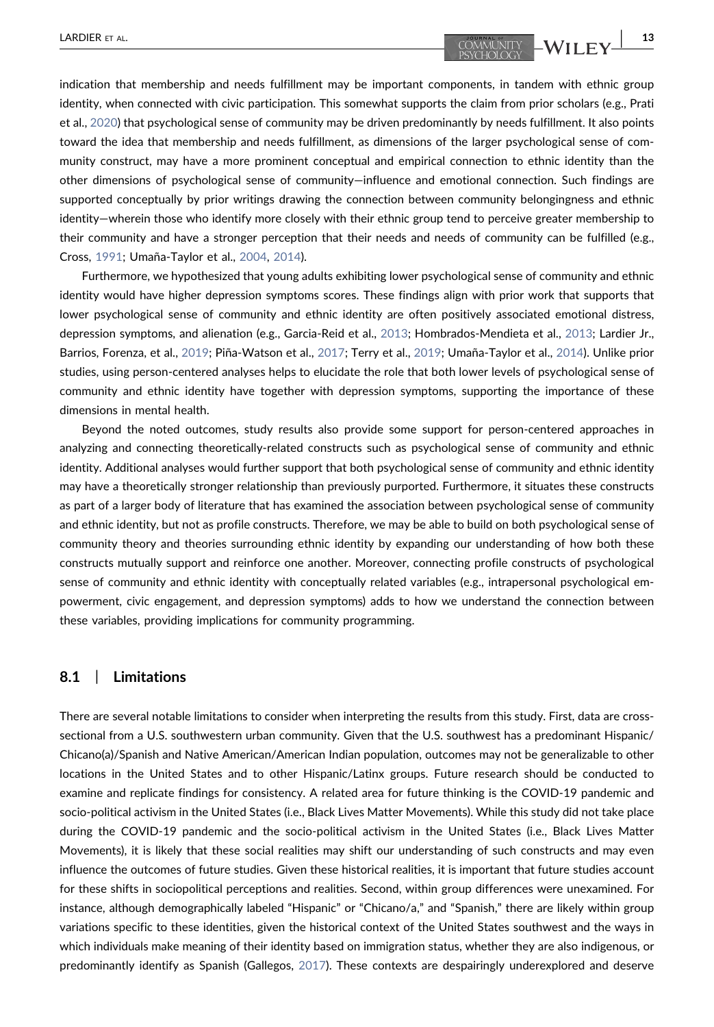indication that membership and needs fulfillment may be important components, in tandem with ethnic group identity, when connected with civic participation. This somewhat supports the claim from prior scholars (e.g., Prati et al., [2020\)](#page-17-4) that psychological sense of community may be driven predominantly by needs fulfillment. It also points toward the idea that membership and needs fulfillment, as dimensions of the larger psychological sense of community construct, may have a more prominent conceptual and empirical connection to ethnic identity than the other dimensions of psychological sense of community—influence and emotional connection. Such findings are supported conceptually by prior writings drawing the connection between community belongingness and ethnic identity—wherein those who identify more closely with their ethnic group tend to perceive greater membership to their community and have a stronger perception that their needs and needs of community can be fulfilled (e.g., Cross, [1991](#page-14-5); Umaña‐Taylor et al., [2004](#page-18-6), [2014](#page-18-1)).

Furthermore, we hypothesized that young adults exhibiting lower psychological sense of community and ethnic identity would have higher depression symptoms scores. These findings align with prior work that supports that lower psychological sense of community and ethnic identity are often positively associated emotional distress, depression symptoms, and alienation (e.g., Garcia‐Reid et al., [2013;](#page-15-2) Hombrados‐Mendieta et al., [2013](#page-15-20); Lardier Jr., Barrios, Forenza, et al., [2019;](#page-15-4) Piña‐Watson et al., [2017](#page-17-19); Terry et al., [2019;](#page-18-2) Umaña‐Taylor et al., [2014](#page-18-1)). Unlike prior studies, using person‐centered analyses helps to elucidate the role that both lower levels of psychological sense of community and ethnic identity have together with depression symptoms, supporting the importance of these dimensions in mental health.

Beyond the noted outcomes, study results also provide some support for person-centered approaches in analyzing and connecting theoretically‐related constructs such as psychological sense of community and ethnic identity. Additional analyses would further support that both psychological sense of community and ethnic identity may have a theoretically stronger relationship than previously purported. Furthermore, it situates these constructs as part of a larger body of literature that has examined the association between psychological sense of community and ethnic identity, but not as profile constructs. Therefore, we may be able to build on both psychological sense of community theory and theories surrounding ethnic identity by expanding our understanding of how both these constructs mutually support and reinforce one another. Moreover, connecting profile constructs of psychological sense of community and ethnic identity with conceptually related variables (e.g., intrapersonal psychological empowerment, civic engagement, and depression symptoms) adds to how we understand the connection between these variables, providing implications for community programming.

## 8.1 | Limitations

There are several notable limitations to consider when interpreting the results from this study. First, data are crosssectional from a U.S. southwestern urban community. Given that the U.S. southwest has a predominant Hispanic/ Chicano(a)/Spanish and Native American/American Indian population, outcomes may not be generalizable to other locations in the United States and to other Hispanic/Latinx groups. Future research should be conducted to examine and replicate findings for consistency. A related area for future thinking is the COVID‐19 pandemic and socio-political activism in the United States (i.e., Black Lives Matter Movements). While this study did not take place during the COVID‐19 pandemic and the socio‐political activism in the United States (i.e., Black Lives Matter Movements), it is likely that these social realities may shift our understanding of such constructs and may even influence the outcomes of future studies. Given these historical realities, it is important that future studies account for these shifts in sociopolitical perceptions and realities. Second, within group differences were unexamined. For instance, although demographically labeled "Hispanic" or "Chicano/a," and "Spanish," there are likely within group variations specific to these identities, given the historical context of the United States southwest and the ways in which individuals make meaning of their identity based on immigration status, whether they are also indigenous, or predominantly identify as Spanish (Gallegos, [2017](#page-15-21)). These contexts are despairingly underexplored and deserve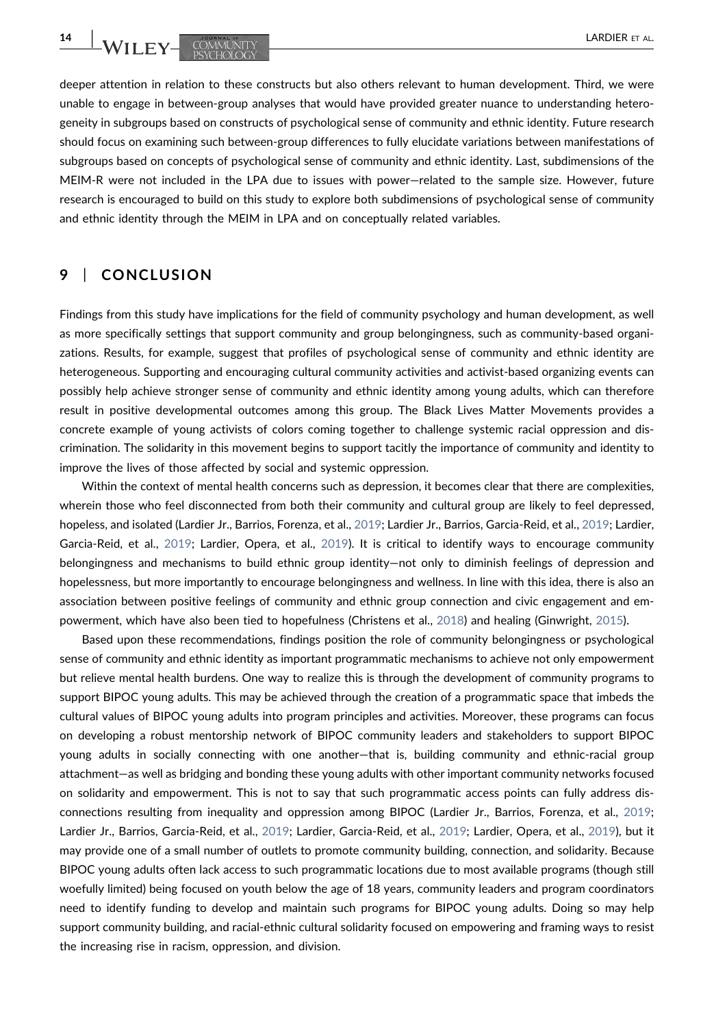deeper attention in relation to these constructs but also others relevant to human development. Third, we were unable to engage in between‐group analyses that would have provided greater nuance to understanding heterogeneity in subgroups based on constructs of psychological sense of community and ethnic identity. Future research should focus on examining such between‐group differences to fully elucidate variations between manifestations of subgroups based on concepts of psychological sense of community and ethnic identity. Last, subdimensions of the MEIM‐R were not included in the LPA due to issues with power—related to the sample size. However, future research is encouraged to build on this study to explore both subdimensions of psychological sense of community and ethnic identity through the MEIM in LPA and on conceptually related variables.

# 9 | CONCLUSION

Findings from this study have implications for the field of community psychology and human development, as well as more specifically settings that support community and group belongingness, such as community‐based organizations. Results, for example, suggest that profiles of psychological sense of community and ethnic identity are heterogeneous. Supporting and encouraging cultural community activities and activist‐based organizing events can possibly help achieve stronger sense of community and ethnic identity among young adults, which can therefore result in positive developmental outcomes among this group. The Black Lives Matter Movements provides a concrete example of young activists of colors coming together to challenge systemic racial oppression and discrimination. The solidarity in this movement begins to support tacitly the importance of community and identity to improve the lives of those affected by social and systemic oppression.

Within the context of mental health concerns such as depression, it becomes clear that there are complexities, wherein those who feel disconnected from both their community and cultural group are likely to feel depressed, hopeless, and isolated (Lardier Jr., Barrios, Forenza, et al., [2019](#page-15-4); Lardier Jr., Barrios, Garcia-Reid, et al., [2019;](#page-15-11) Lardier, Garcia‐Reid, et al., [2019](#page-16-10); Lardier, Opera, et al., [2019\)](#page-16-2). It is critical to identify ways to encourage community belongingness and mechanisms to build ethnic group identity—not only to diminish feelings of depression and hopelessness, but more importantly to encourage belongingness and wellness. In line with this idea, there is also an association between positive feelings of community and ethnic group connection and civic engagement and empowerment, which have also been tied to hopefulness (Christens et al., [2018](#page-14-11)) and healing (Ginwright, [2015](#page-15-22)).

Based upon these recommendations, findings position the role of community belongingness or psychological sense of community and ethnic identity as important programmatic mechanisms to achieve not only empowerment but relieve mental health burdens. One way to realize this is through the development of community programs to support BIPOC young adults. This may be achieved through the creation of a programmatic space that imbeds the cultural values of BIPOC young adults into program principles and activities. Moreover, these programs can focus on developing a robust mentorship network of BIPOC community leaders and stakeholders to support BIPOC young adults in socially connecting with one another—that is, building community and ethnic-racial group attachment—as well as bridging and bonding these young adults with other important community networks focused on solidarity and empowerment. This is not to say that such programmatic access points can fully address disconnections resulting from inequality and oppression among BIPOC (Lardier Jr., Barrios, Forenza, et al., [2019](#page-15-4); Lardier Jr., Barrios, Garcia‐Reid, et al., [2019](#page-15-11); Lardier, Garcia‐Reid, et al., [2019;](#page-16-10) Lardier, Opera, et al., [2019](#page-16-2)), but it may provide one of a small number of outlets to promote community building, connection, and solidarity. Because BIPOC young adults often lack access to such programmatic locations due to most available programs (though still woefully limited) being focused on youth below the age of 18 years, community leaders and program coordinators need to identify funding to develop and maintain such programs for BIPOC young adults. Doing so may help support community building, and racial‐ethnic cultural solidarity focused on empowering and framing ways to resist the increasing rise in racism, oppression, and division.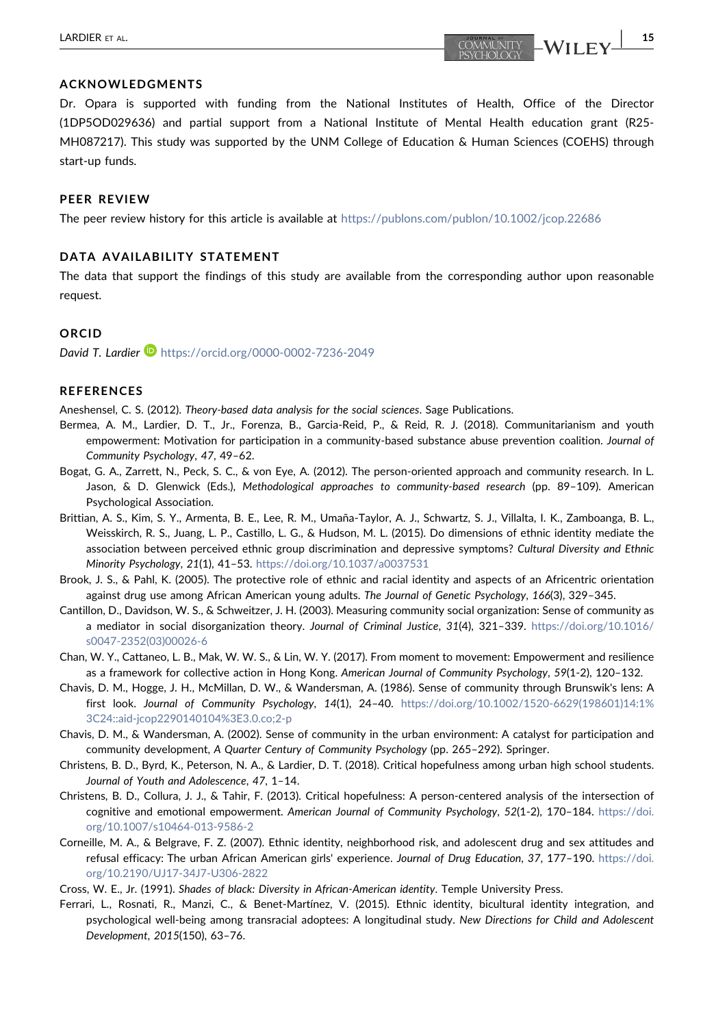Dr. Opara is supported with funding from the National Institutes of Health, Office of the Director (1DP5OD029636) and partial support from a National Institute of Mental Health education grant (R25‐ MH087217). This study was supported by the UNM College of Education & Human Sciences (COEHS) through start‐up funds.

#### PEER REVIEW

The peer review history for this article is available at <https://publons.com/publon/10.1002/jcop.22686>

#### DATA AVAILABILITY STATEMENT

The data that support the findings of this study are available from the corresponding author upon reasonable request.

### ORCID

David T. Lardier **b** <https://orcid.org/0000-0002-7236-2049>

#### **REFERENCES**

<span id="page-14-12"></span>Aneshensel, C. S. (2012). Theory‐based data analysis for the social sciences. Sage Publications.

- <span id="page-14-1"></span>Bermea, A. M., Lardier, D. T., Jr., Forenza, B., Garcia‐Reid, P., & Reid, R. J. (2018). Communitarianism and youth empowerment: Motivation for participation in a community-based substance abuse prevention coalition. Journal of Community Psychology, 47, 49–62.
- <span id="page-14-9"></span>Bogat, G. A., Zarrett, N., Peck, S. C., & von Eye, A. (2012). The person‐oriented approach and community research. In L. Jason, & D. Glenwick (Eds.), Methodological approaches to community-based research (pp. 89-109). American Psychological Association.
- <span id="page-14-4"></span>Brittian, A. S., Kim, S. Y., Armenta, B. E., Lee, R. M., Umaña‐Taylor, A. J., Schwartz, S. J., Villalta, I. K., Zamboanga, B. L., Weisskirch, R. S., Juang, L. P., Castillo, L. G., & Hudson, M. L. (2015). Do dimensions of ethnic identity mediate the association between perceived ethnic group discrimination and depressive symptoms? Cultural Diversity and Ethnic Minority Psychology, 21(1), 41–53. <https://doi.org/10.1037/a0037531>
- <span id="page-14-6"></span>Brook, J. S., & Pahl, K. (2005). The protective role of ethnic and racial identity and aspects of an Africentric orientation against drug use among African American young adults. The Journal of Genetic Psychology, 166(3), 329–345.
- <span id="page-14-0"></span>Cantillon, D., Davidson, W. S., & Schweitzer, J. H. (2003). Measuring community social organization: Sense of community as a mediator in social disorganization theory. Journal of Criminal Justice, 31(4), 321–339. [https://doi.org/10.1016/](https://doi.org/10.1016/s0047-2352(03)00026-6) [s0047-2352\(03\)00026-6](https://doi.org/10.1016/s0047-2352(03)00026-6)
- <span id="page-14-2"></span>Chan, W. Y., Cattaneo, L. B., Mak, W. W. S., & Lin, W. Y. (2017). From moment to movement: Empowerment and resilience as a framework for collective action in Hong Kong. American Journal of Community Psychology, 59(1‐2), 120–132.
- Chavis, D. M., Hogge, J. H., McMillan, D. W., & Wandersman, A. (1986). Sense of community through Brunswik's lens: A first look. Journal of Community Psychology, 14(1), 24–40. [https://doi.org/10.1002/1520-6629\(198601\)14:1%](https://doi.org/10.1002/1520-6629(198601)14:1%3C24::aid-jcop2290140104%3E3.0.co;2-p) [3C24::aid-jcop2290140104%3E3.0.co;2-p](https://doi.org/10.1002/1520-6629(198601)14:1%3C24::aid-jcop2290140104%3E3.0.co;2-p)
- <span id="page-14-3"></span>Chavis, D. M., & Wandersman, A. (2002). Sense of community in the urban environment: A catalyst for participation and community development, A Quarter Century of Community Psychology (pp. 265–292). Springer.
- <span id="page-14-11"></span>Christens, B. D., Byrd, K., Peterson, N. A., & Lardier, D. T. (2018). Critical hopefulness among urban high school students. Journal of Youth and Adolescence, 47, 1–14.
- <span id="page-14-10"></span>Christens, B. D., Collura, J. J., & Tahir, F. (2013). Critical hopefulness: A person‐centered analysis of the intersection of cognitive and emotional empowerment. American Journal of Community Psychology, 52(1-2), 170-184. [https://doi.](https://doi.org/10.1007/s10464-013-9586-2) [org/10.1007/s10464-013-9586-2](https://doi.org/10.1007/s10464-013-9586-2)
- <span id="page-14-7"></span>Corneille, M. A., & Belgrave, F. Z. (2007). Ethnic identity, neighborhood risk, and adolescent drug and sex attitudes and refusal efficacy: The urban African American girls' experience. Journal of Drug Education, 37, 177–190. [https://doi.](https://doi.org/10.2190/UJ17-34J7-U306-2822) [org/10.2190/UJ17](https://doi.org/10.2190/UJ17-34J7-U306-2822)‐34J7-U306-2822

<span id="page-14-5"></span>Cross, W. E., Jr. (1991). Shades of black: Diversity in African‐American identity. Temple University Press.

<span id="page-14-8"></span>Ferrari, L., Rosnati, R., Manzi, C., & Benet‐Martínez, V. (2015). Ethnic identity, bicultural identity integration, and psychological well‐being among transracial adoptees: A longitudinal study. New Directions for Child and Adolescent Development, 2015(150), 63–76.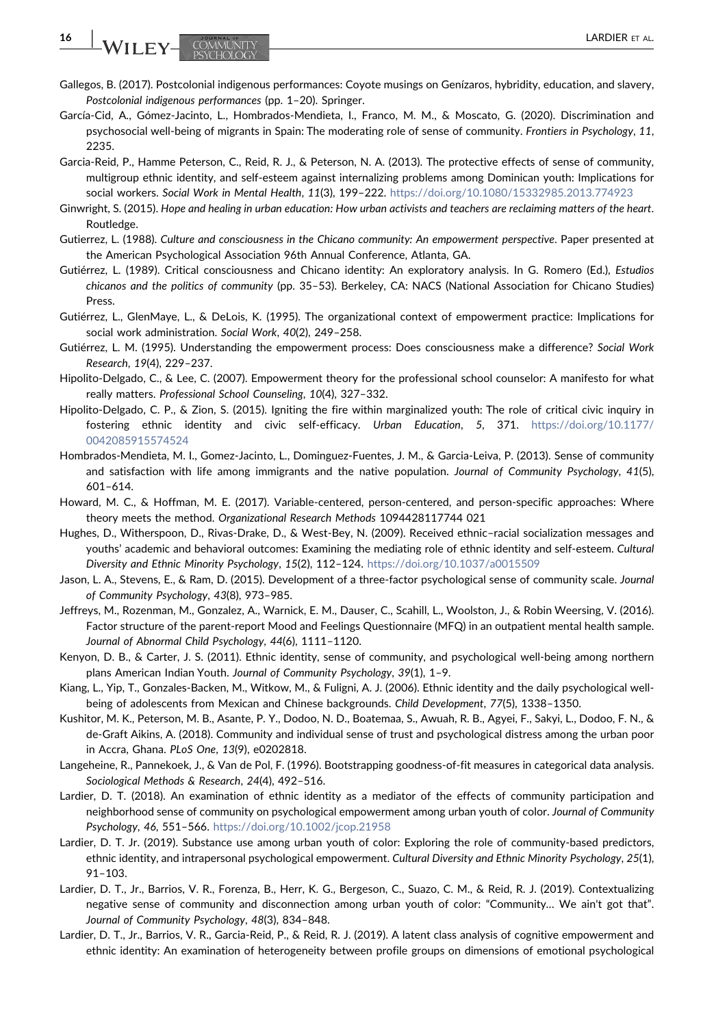- <span id="page-15-21"></span>Gallegos, B. (2017). Postcolonial indigenous performances: Coyote musings on Genízaros, hybridity, education, and slavery, Postcolonial indigenous performances (pp. 1–20). Springer.
- <span id="page-15-7"></span>García‐Cid, A., Gómez‐Jacinto, L., Hombrados‐Mendieta, I., Franco, M. M., & Moscato, G. (2020). Discrimination and psychosocial well-being of migrants in Spain: The moderating role of sense of community. Frontiers in Psychology, 11, 2235.
- <span id="page-15-2"></span>Garcia‐Reid, P., Hamme Peterson, C., Reid, R. J., & Peterson, N. A. (2013). The protective effects of sense of community, multigroup ethnic identity, and self‐esteem against internalizing problems among Dominican youth: Implications for social workers. Social Work in Mental Health, 11(3), 199-222. <https://doi.org/10.1080/15332985.2013.774923>
- <span id="page-15-22"></span>Ginwright, S. (2015). Hope and healing in urban education: How urban activists and teachers are reclaiming matters of the heart. Routledge.
- <span id="page-15-12"></span>Gutierrez, L. (1988). Culture and consciousness in the Chicano community: An empowerment perspective. Paper presented at the American Psychological Association 96th Annual Conference, Atlanta, GA.
- <span id="page-15-8"></span>Gutiérrez, L. (1989). Critical consciousness and Chicano identity: An exploratory analysis. In G. Romero (Ed.), Estudios chicanos and the politics of community (pp. 35–53). Berkeley, CA: NACS (National Association for Chicano Studies) Press.
- <span id="page-15-10"></span>Gutiérrez, L., GlenMaye, L., & DeLois, K. (1995). The organizational context of empowerment practice: Implications for social work administration. Social Work, 40(2), 249–258.
- <span id="page-15-9"></span>Gutiérrez, L. M. (1995). Understanding the empowerment process: Does consciousness make a difference? Social Work Research, 19(4), 229–237.
- <span id="page-15-13"></span>Hipolito‐Delgado, C., & Lee, C. (2007). Empowerment theory for the professional school counselor: A manifesto for what really matters. Professional School Counseling, 10(4), 327–332.
- <span id="page-15-15"></span>Hipolito‐Delgado, C. P., & Zion, S. (2015). Igniting the fire within marginalized youth: The role of critical civic inquiry in fostering ethnic identity and civic self‐efficacy. Urban Education, 5, 371. [https://doi.org/10.1177/](https://doi.org/10.1177/0042085915574524) [0042085915574524](https://doi.org/10.1177/0042085915574524)
- <span id="page-15-20"></span>Hombrados‐Mendieta, M. I., Gomez‐Jacinto, L., Dominguez‐Fuentes, J. M., & Garcia‐Leiva, P. (2013). Sense of community and satisfaction with life among immigrants and the native population. Journal of Community Psychology, 41(5), 601–614.
- <span id="page-15-17"></span>Howard, M. C., & Hoffman, M. E. (2017). Variable-centered, person-centered, and person-specific approaches: Where theory meets the method. Organizational Research Methods 1094428117744 021
- <span id="page-15-16"></span>Hughes, D., Witherspoon, D., Rivas‐Drake, D., & West‐Bey, N. (2009). Received ethnic–racial socialization messages and youths' academic and behavioral outcomes: Examining the mediating role of ethnic identity and self‐esteem. Cultural Diversity and Ethnic Minority Psychology, 15(2), 112–124. <https://doi.org/10.1037/a0015509>
- <span id="page-15-5"></span>Jason, L. A., Stevens, E., & Ram, D. (2015). Development of a three-factor psychological sense of community scale. Journal of Community Psychology, 43(8), 973–985.
- <span id="page-15-18"></span>Jeffreys, M., Rozenman, M., Gonzalez, A., Warnick, E. M., Dauser, C., Scahill, L., Woolston, J., & Robin Weersing, V. (2016). Factor structure of the parent-report Mood and Feelings Questionnaire (MFQ) in an outpatient mental health sample. Journal of Abnormal Child Psychology, 44(6), 1111–1120.
- <span id="page-15-3"></span>Kenyon, D. B., & Carter, J. S. (2011). Ethnic identity, sense of community, and psychological well‐being among northern plans American Indian Youth. Journal of Community Psychology, 39(1), 1–9.
- <span id="page-15-14"></span>Kiang, L., Yip, T., Gonzales‐Backen, M., Witkow, M., & Fuligni, A. J. (2006). Ethnic identity and the daily psychological well‐ being of adolescents from Mexican and Chinese backgrounds. Child Development, 77(5), 1338–1350.
- <span id="page-15-6"></span>Kushitor, M. K., Peterson, M. B., Asante, P. Y., Dodoo, N. D., Boatemaa, S., Awuah, R. B., Agyei, F., Sakyi, L., Dodoo, F. N., & de‐Graft Aikins, A. (2018). Community and individual sense of trust and psychological distress among the urban poor in Accra, Ghana. PLoS One, 13(9), e0202818.
- <span id="page-15-19"></span>Langeheine, R., Pannekoek, J., & Van de Pol, F. (1996). Bootstrapping goodness‐of‐fit measures in categorical data analysis. Sociological Methods & Research, 24(4), 492–516.
- <span id="page-15-0"></span>Lardier, D. T. (2018). An examination of ethnic identity as a mediator of the effects of community participation and neighborhood sense of community on psychological empowerment among urban youth of color. Journal of Community Psychology, 46, 551–566. <https://doi.org/10.1002/jcop.21958>
- <span id="page-15-1"></span>Lardier, D. T. Jr. (2019). Substance use among urban youth of color: Exploring the role of community‐based predictors, ethnic identity, and intrapersonal psychological empowerment. Cultural Diversity and Ethnic Minority Psychology, 25(1), 91–103.
- <span id="page-15-4"></span>Lardier, D. T., Jr., Barrios, V. R., Forenza, B., Herr, K. G., Bergeson, C., Suazo, C. M., & Reid, R. J. (2019). Contextualizing negative sense of community and disconnection among urban youth of color: "Community… We ain't got that". Journal of Community Psychology, 48(3), 834–848.
- <span id="page-15-11"></span>Lardier, D. T., Jr., Barrios, V. R., Garcia‐Reid, P., & Reid, R. J. (2019). A latent class analysis of cognitive empowerment and ethnic identity: An examination of heterogeneity between profile groups on dimensions of emotional psychological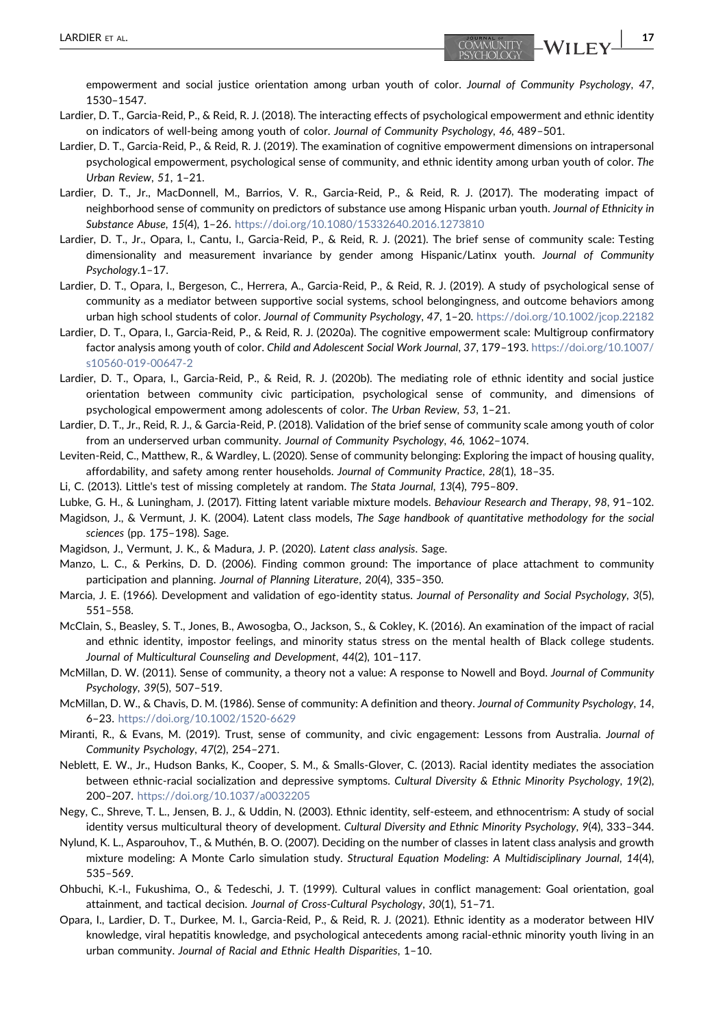empowerment and social justice orientation among urban youth of color. Journal of Community Psychology, 47, 1530–1547.

- <span id="page-16-8"></span>Lardier, D. T., Garcia‐Reid, P., & Reid, R. J. (2018). The interacting effects of psychological empowerment and ethnic identity on indicators of well-being among youth of color. Journal of Community Psychology, 46, 489-501.
- <span id="page-16-10"></span>Lardier, D. T., Garcia‐Reid, P., & Reid, R. J. (2019). The examination of cognitive empowerment dimensions on intrapersonal psychological empowerment, psychological sense of community, and ethnic identity among urban youth of color. The Urban Review, 51, 1–21.
- <span id="page-16-11"></span>Lardier, D. T., Jr., MacDonnell, M., Barrios, V. R., Garcia-Reid, P., & Reid, R. J. (2017). The moderating impact of neighborhood sense of community on predictors of substance use among Hispanic urban youth. Journal of Ethnicity in Substance Abuse, 15(4), 1–26. <https://doi.org/10.1080/15332640.2016.1273810>
- <span id="page-16-5"></span>Lardier, D. T., Jr., Opara, I., Cantu, I., Garcia‐Reid, P., & Reid, R. J. (2021). The brief sense of community scale: Testing dimensionality and measurement invariance by gender among Hispanic/Latinx youth. Journal of Community Psychology.1–17.
- <span id="page-16-2"></span>Lardier, D. T., Opara, I., Bergeson, C., Herrera, A., Garcia-Reid, P., & Reid, R. J. (2019). A study of psychological sense of community as a mediator between supportive social systems, school belongingness, and outcome behaviors among urban high school students of color. Journal of Community Psychology, 47, 1-20. <https://doi.org/10.1002/jcop.22182>
- <span id="page-16-3"></span>Lardier, D. T., Opara, I., Garcia‐Reid, P., & Reid, R. J. (2020a). The cognitive empowerment scale: Multigroup confirmatory factor analysis among youth of color. Child and Adolescent Social Work Journal, 37, 179–193. [https://doi.org/10.1007/](https://doi.org/10.1007/s10560-019-00647-2) [s10560-019-00647-2](https://doi.org/10.1007/s10560-019-00647-2)
- <span id="page-16-4"></span>Lardier, D. T., Opara, I., Garcia‐Reid, P., & Reid, R. J. (2020b). The mediating role of ethnic identity and social justice orientation between community civic participation, psychological sense of community, and dimensions of psychological empowerment among adolescents of color. The Urban Review, 53, 1–21.
- <span id="page-16-9"></span>Lardier, D. T., Jr., Reid, R. J., & Garcia‐Reid, P. (2018). Validation of the brief sense of community scale among youth of color from an underserved urban community. Journal of Community Psychology, 46, 1062–1074.
- <span id="page-16-12"></span>Leviten‐Reid, C., Matthew, R., & Wardley, L. (2020). Sense of community belonging: Exploring the impact of housing quality, affordability, and safety among renter households. Journal of Community Practice, 28(1), 18–35.
- <span id="page-16-19"></span>Li, C. (2013). Little's test of missing completely at random. The Stata Journal, 13(4), 795–809.
- <span id="page-16-22"></span>Lubke, G. H., & Luningham, J. (2017). Fitting latent variable mixture models. Behaviour Research and Therapy, 98, 91–102.
- <span id="page-16-18"></span>Magidson, J., & Vermunt, J. K. (2004). Latent class models, The Sage handbook of quantitative methodology for the social sciences (pp. 175–198). Sage.
- <span id="page-16-20"></span>Magidson, J., Vermunt, J. K., & Madura, J. P. (2020). Latent class analysis. Sage.
- <span id="page-16-0"></span>Manzo, L. C., & Perkins, D. D. (2006). Finding common ground: The importance of place attachment to community participation and planning. Journal of Planning Literature, 20(4), 335–350.
- <span id="page-16-14"></span>Marcia, J. E. (1966). Development and validation of ego-identity status. Journal of Personality and Social Psychology, 3(5), 551–558.
- <span id="page-16-17"></span>McClain, S., Beasley, S. T., Jones, B., Awosogba, O., Jackson, S., & Cokley, K. (2016). An examination of the impact of racial and ethnic identity, impostor feelings, and minority status stress on the mental health of Black college students. Journal of Multicultural Counseling and Development, 44(2), 101–117.
- <span id="page-16-6"></span>McMillan, D. W. (2011). Sense of community, a theory not a value: A response to Nowell and Boyd. Journal of Community Psychology, 39(5), 507–519.

<span id="page-16-1"></span>McMillan, D. W., & Chavis, D. M. (1986). Sense of community: A definition and theory. Journal of Community Psychology, 14, 6–23. <https://doi.org/10.1002/1520-6629>

- <span id="page-16-13"></span>Miranti, R., & Evans, M. (2019). Trust, sense of community, and civic engagement: Lessons from Australia. Journal of Community Psychology, 47(2), 254–271.
- <span id="page-16-15"></span>Neblett, E. W., Jr., Hudson Banks, K., Cooper, S. M., & Smalls‐Glover, C. (2013). Racial identity mediates the association between ethnic-racial socialization and depressive symptoms. Cultural Diversity & Ethnic Minority Psychology, 19(2), 200–207. <https://doi.org/10.1037/a0032205>
- <span id="page-16-16"></span>Negy, C., Shreve, T. L., Jensen, B. J., & Uddin, N. (2003). Ethnic identity, self‐esteem, and ethnocentrism: A study of social identity versus multicultural theory of development. Cultural Diversity and Ethnic Minority Psychology, 9(4), 333–344.
- <span id="page-16-21"></span>Nylund, K. L., Asparouhov, T., & Muthén, B. O. (2007). Deciding on the number of classes in latent class analysis and growth mixture modeling: A Monte Carlo simulation study. Structural Equation Modeling: A Multidisciplinary Journal, 14(4), 535–569.
- <span id="page-16-7"></span>Ohbuchi, K.‐I., Fukushima, O., & Tedeschi, J. T. (1999). Cultural values in conflict management: Goal orientation, goal attainment, and tactical decision. Journal of Cross‐Cultural Psychology, 30(1), 51–71.
- Opara, I., Lardier, D. T., Durkee, M. I., Garcia‐Reid, P., & Reid, R. J. (2021). Ethnic identity as a moderator between HIV knowledge, viral hepatitis knowledge, and psychological antecedents among racial‐ethnic minority youth living in an urban community. Journal of Racial and Ethnic Health Disparities, 1–10.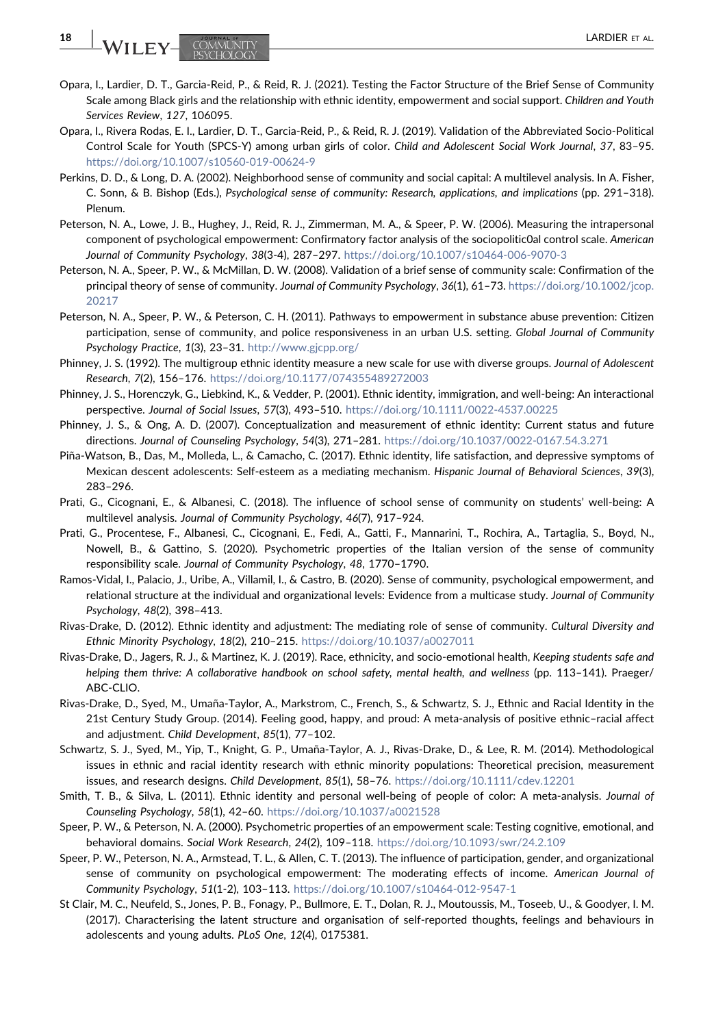- <span id="page-17-9"></span>Opara, I., Lardier, D. T., Garcia‐Reid, P., & Reid, R. J. (2021). Testing the Factor Structure of the Brief Sense of Community Scale among Black girls and the relationship with ethnic identity, empowerment and social support. Children and Youth Services Review, 127, 106095.
- <span id="page-17-12"></span>Opara, I., Rivera Rodas, E. I., Lardier, D. T., Garcia‐Reid, P., & Reid, R. J. (2019). Validation of the Abbreviated Socio‐Political Control Scale for Youth (SPCS‐Y) among urban girls of color. Child and Adolescent Social Work Journal, 37, 83–95. <https://doi.org/10.1007/s10560-019-00624-9>
- <span id="page-17-3"></span>Perkins, D. D., & Long, D. A. (2002). Neighborhood sense of community and social capital: A multilevel analysis. In A. Fisher, C. Sonn, & B. Bishop (Eds.), Psychological sense of community: Research, applications, and implications (pp. 291–318). Plenum.
- <span id="page-17-15"></span>Peterson, N. A., Lowe, J. B., Hughey, J., Reid, R. J., Zimmerman, M. A., & Speer, P. W. (2006). Measuring the intrapersonal component of psychological empowerment: Confirmatory factor analysis of the sociopolitic0al control scale. American Journal of Community Psychology, 38(3‐4), 287–297. <https://doi.org/10.1007/s10464-006-9070-3>
- <span id="page-17-13"></span>Peterson, N. A., Speer, P. W., & McMillan, D. W. (2008). Validation of a brief sense of community scale: Confirmation of the principal theory of sense of community. Journal of Community Psychology, 36(1), 61-73. [https://doi.org/10.1002/jcop.](https://doi.org/10.1002/jcop.20217) [20217](https://doi.org/10.1002/jcop.20217)
- <span id="page-17-16"></span>Peterson, N. A., Speer, P. W., & Peterson, C. H. (2011). Pathways to empowerment in substance abuse prevention: Citizen participation, sense of community, and police responsiveness in an urban U.S. setting. Global Journal of Community Psychology Practice, 1(3), 23–31. <http://www.gjcpp.org/>
- <span id="page-17-7"></span>Phinney, J. S. (1992). The multigroup ethnic identity measure a new scale for use with diverse groups. Journal of Adolescent Research, 7(2), 156–176. <https://doi.org/10.1177/074355489272003>
- <span id="page-17-10"></span>Phinney, J. S., Horenczyk, G., Liebkind, K., & Vedder, P. (2001). Ethnic identity, immigration, and well‐being: An interactional perspective. Journal of Social Issues, 57(3), 493–510. <https://doi.org/10.1111/0022-4537.00225>
- <span id="page-17-0"></span>Phinney, J. S., & Ong, A. D. (2007). Conceptualization and measurement of ethnic identity: Current status and future directions. Journal of Counseling Psychology, 54(3), 271–281. <https://doi.org/10.1037/0022-0167.54.3.271>
- <span id="page-17-19"></span>Piña‐Watson, B., Das, M., Molleda, L., & Camacho, C. (2017). Ethnic identity, life satisfaction, and depressive symptoms of Mexican descent adolescents: Self-esteem as a mediating mechanism. Hispanic Journal of Behavioral Sciences, 39(3), 283–296.
- <span id="page-17-6"></span>Prati, G., Cicognani, E., & Albanesi, C. (2018). The influence of school sense of community on students' well‐being: A multilevel analysis. Journal of Community Psychology, 46(7), 917–924.
- <span id="page-17-4"></span>Prati, G., Procentese, F., Albanesi, C., Cicognani, E., Fedi, A., Gatti, F., Mannarini, T., Rochira, A., Tartaglia, S., Boyd, N., Nowell, B., & Gattino, S. (2020). Psychometric properties of the Italian version of the sense of community responsibility scale. Journal of Community Psychology, 48, 1770–1790.
- <span id="page-17-2"></span>Ramos‐Vidal, I., Palacio, J., Uribe, A., Villamil, I., & Castro, B. (2020). Sense of community, psychological empowerment, and relational structure at the individual and organizational levels: Evidence from a multicase study. Journal of Community Psychology, 48(2), 398–413.
- <span id="page-17-1"></span>Rivas‐Drake, D. (2012). Ethnic identity and adjustment: The mediating role of sense of community. Cultural Diversity and Ethnic Minority Psychology, 18(2), 210–215. <https://doi.org/10.1037/a0027011>
- <span id="page-17-8"></span>Rivas‐Drake, D., Jagers, R. J., & Martinez, K. J. (2019). Race, ethnicity, and socio‐emotional health, Keeping students safe and helping them thrive: A collaborative handbook on school safety, mental health, and wellness (pp. 113–141). Praeger/ ABC‐CLIO.
- Rivas‐Drake, D., Syed, M., Umaña‐Taylor, A., Markstrom, C., French, S., & Schwartz, S. J., Ethnic and Racial Identity in the 21st Century Study Group. (2014). Feeling good, happy, and proud: A meta‐analysis of positive ethnic–racial affect and adjustment. Child Development, 85(1), 77–102.
- <span id="page-17-14"></span>Schwartz, S. J., Syed, M., Yip, T., Knight, G. P., Umaña‐Taylor, A. J., Rivas‐Drake, D., & Lee, R. M. (2014). Methodological issues in ethnic and racial identity research with ethnic minority populations: Theoretical precision, measurement issues, and research designs. Child Development, 85(1), 58–76. <https://doi.org/10.1111/cdev.12201>
- <span id="page-17-11"></span>Smith, T. B., & Silva, L. (2011). Ethnic identity and personal well-being of people of color: A meta-analysis. Journal of Counseling Psychology, 58(1), 42–60. <https://doi.org/10.1037/a0021528>
- <span id="page-17-17"></span>Speer, P. W., & Peterson, N. A. (2000). Psychometric properties of an empowerment scale: Testing cognitive, emotional, and behavioral domains. Social Work Research, 24(2), 109–118. <https://doi.org/10.1093/swr/24.2.109>
- <span id="page-17-5"></span>Speer, P. W., Peterson, N. A., Armstead, T. L., & Allen, C. T. (2013). The influence of participation, gender, and organizational sense of community on psychological empowerment: The moderating effects of income. American Journal of Community Psychology, 51(1‐2), 103–113. <https://doi.org/10.1007/s10464-012-9547-1>
- <span id="page-17-18"></span>St Clair, M. C., Neufeld, S., Jones, P. B., Fonagy, P., Bullmore, E. T., Dolan, R. J., Moutoussis, M., Toseeb, U., & Goodyer, I. M. (2017). Characterising the latent structure and organisation of self-reported thoughts, feelings and behaviours in adolescents and young adults. PLoS One, 12(4), 0175381.